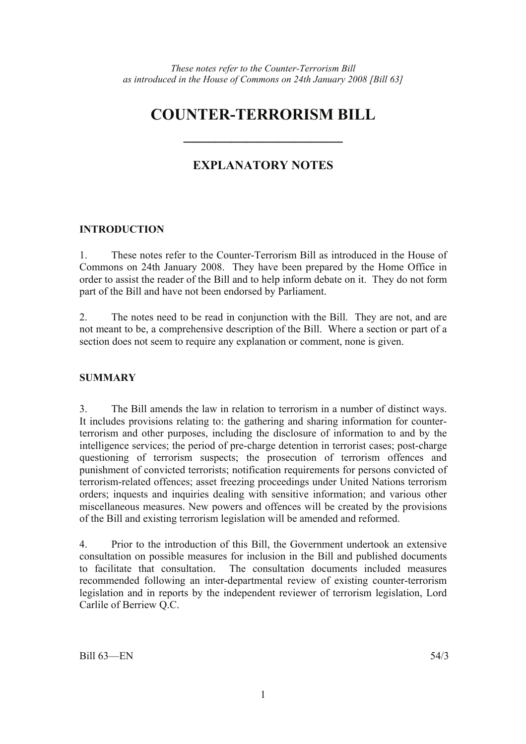# **COUNTER-TERRORISM BILL**

## **EXPLANATORY NOTES**

**——————————** 

## **INTRODUCTION**

1. These notes refer to the Counter-Terrorism Bill as introduced in the House of Commons on 24th January 2008. They have been prepared by the Home Office in order to assist the reader of the Bill and to help inform debate on it. They do not form part of the Bill and have not been endorsed by Parliament.

2. The notes need to be read in conjunction with the Bill. They are not, and are not meant to be, a comprehensive description of the Bill. Where a section or part of a section does not seem to require any explanation or comment, none is given.

## **SUMMARY**

3. The Bill amends the law in relation to terrorism in a number of distinct ways. It includes provisions relating to: the gathering and sharing information for counterterrorism and other purposes, including the disclosure of information to and by the intelligence services; the period of pre-charge detention in terrorist cases; post-charge questioning of terrorism suspects; the prosecution of terrorism offences and punishment of convicted terrorists; notification requirements for persons convicted of terrorism-related offences; asset freezing proceedings under United Nations terrorism orders; inquests and inquiries dealing with sensitive information; and various other miscellaneous measures. New powers and offences will be created by the provisions of the Bill and existing terrorism legislation will be amended and reformed.

4. Prior to the introduction of this Bill, the Government undertook an extensive consultation on possible measures for inclusion in the Bill and published documents to facilitate that consultation. The consultation documents included measures recommended following an inter-departmental review of existing counter-terrorism legislation and in reports by the independent reviewer of terrorism legislation, Lord Carlile of Berriew Q.C.

 $Bill 63—EN$  54/3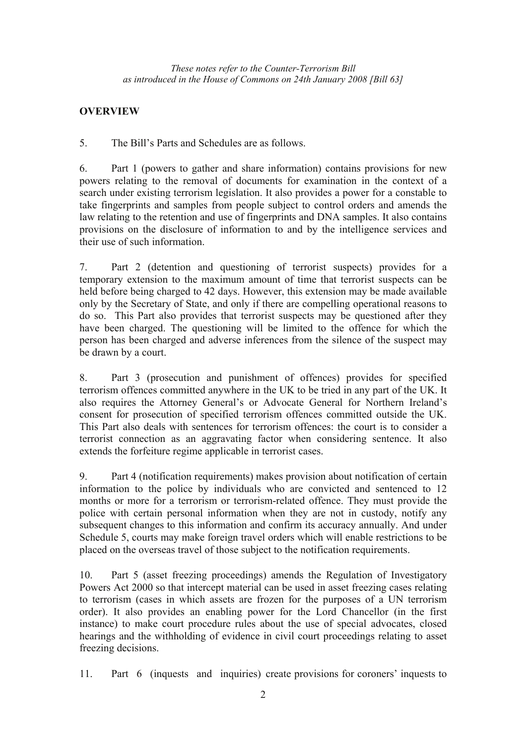## **OVERVIEW**

5. The Bill's Parts and Schedules are as follows.

6. Part 1 (powers to gather and share information) contains provisions for new powers relating to the removal of documents for examination in the context of a search under existing terrorism legislation. It also provides a power for a constable to take fingerprints and samples from people subject to control orders and amends the law relating to the retention and use of fingerprints and DNA samples. It also contains provisions on the disclosure of information to and by the intelligence services and their use of such information.

7. Part 2 (detention and questioning of terrorist suspects) provides for a temporary extension to the maximum amount of time that terrorist suspects can be held before being charged to 42 days. However, this extension may be made available only by the Secretary of State, and only if there are compelling operational reasons to do so. This Part also provides that terrorist suspects may be questioned after they have been charged. The questioning will be limited to the offence for which the person has been charged and adverse inferences from the silence of the suspect may be drawn by a court.

8. Part 3 (prosecution and punishment of offences) provides for specified terrorism offences committed anywhere in the UK to be tried in any part of the UK. It also requires the Attorney General's or Advocate General for Northern Ireland's consent for prosecution of specified terrorism offences committed outside the UK. This Part also deals with sentences for terrorism offences: the court is to consider a terrorist connection as an aggravating factor when considering sentence. It also extends the forfeiture regime applicable in terrorist cases.

9. Part 4 (notification requirements) makes provision about notification of certain information to the police by individuals who are convicted and sentenced to 12 months or more for a terrorism or terrorism-related offence. They must provide the police with certain personal information when they are not in custody, notify any subsequent changes to this information and confirm its accuracy annually. And under Schedule 5, courts may make foreign travel orders which will enable restrictions to be placed on the overseas travel of those subject to the notification requirements.

10. Part 5 (asset freezing proceedings) amends the Regulation of Investigatory Powers Act 2000 so that intercept material can be used in asset freezing cases relating to terrorism (cases in which assets are frozen for the purposes of a UN terrorism order). It also provides an enabling power for the Lord Chancellor (in the first instance) to make court procedure rules about the use of special advocates, closed hearings and the withholding of evidence in civil court proceedings relating to asset freezing decisions.

11. Part 6 (inquests and inquiries) create provisions for coroners' inquests to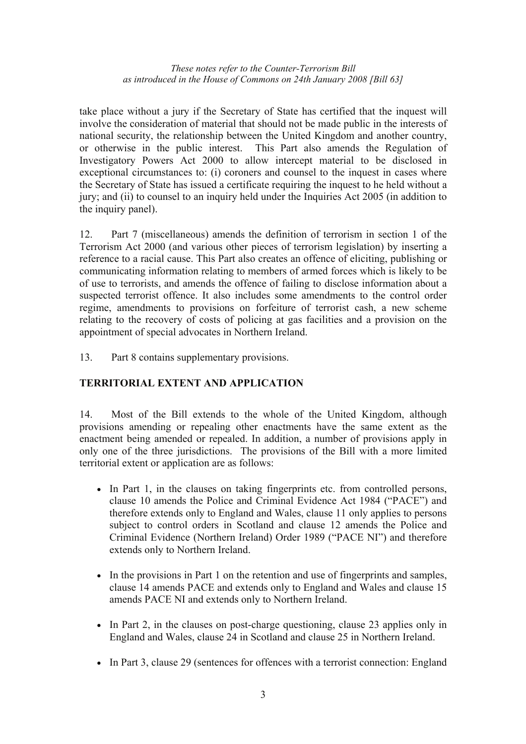take place without a jury if the Secretary of State has certified that the inquest will involve the consideration of material that should not be made public in the interests of national security, the relationship between the United Kingdom and another country, or otherwise in the public interest. This Part also amends the Regulation of Investigatory Powers Act 2000 to allow intercept material to be disclosed in exceptional circumstances to: (i) coroners and counsel to the inquest in cases where the Secretary of State has issued a certificate requiring the inquest to he held without a jury; and (ii) to counsel to an inquiry held under the Inquiries Act 2005 (in addition to the inquiry panel).

12. Part 7 (miscellaneous) amends the definition of terrorism in section 1 of the Terrorism Act 2000 (and various other pieces of terrorism legislation) by inserting a reference to a racial cause. This Part also creates an offence of eliciting, publishing or communicating information relating to members of armed forces which is likely to be of use to terrorists, and amends the offence of failing to disclose information about a suspected terrorist offence. It also includes some amendments to the control order regime, amendments to provisions on forfeiture of terrorist cash, a new scheme relating to the recovery of costs of policing at gas facilities and a provision on the appointment of special advocates in Northern Ireland.

13. Part 8 contains supplementary provisions.

## **TERRITORIAL EXTENT AND APPLICATION**

14. Most of the Bill extends to the whole of the United Kingdom, although provisions amending or repealing other enactments have the same extent as the enactment being amended or repealed. In addition, a number of provisions apply in only one of the three jurisdictions. The provisions of the Bill with a more limited territorial extent or application are as follows:

- In Part 1, in the clauses on taking fingerprints etc. from controlled persons, clause 10 amends the Police and Criminal Evidence Act 1984 ("PACE") and therefore extends only to England and Wales, clause 11 only applies to persons subject to control orders in Scotland and clause 12 amends the Police and Criminal Evidence (Northern Ireland) Order 1989 ("PACE NI") and therefore extends only to Northern Ireland.
- In the provisions in Part 1 on the retention and use of fingerprints and samples, clause 14 amends PACE and extends only to England and Wales and clause 15 amends PACE NI and extends only to Northern Ireland.
- In Part 2, in the clauses on post-charge questioning, clause 23 applies only in England and Wales, clause 24 in Scotland and clause 25 in Northern Ireland.
- In Part 3, clause 29 (sentences for offences with a terrorist connection: England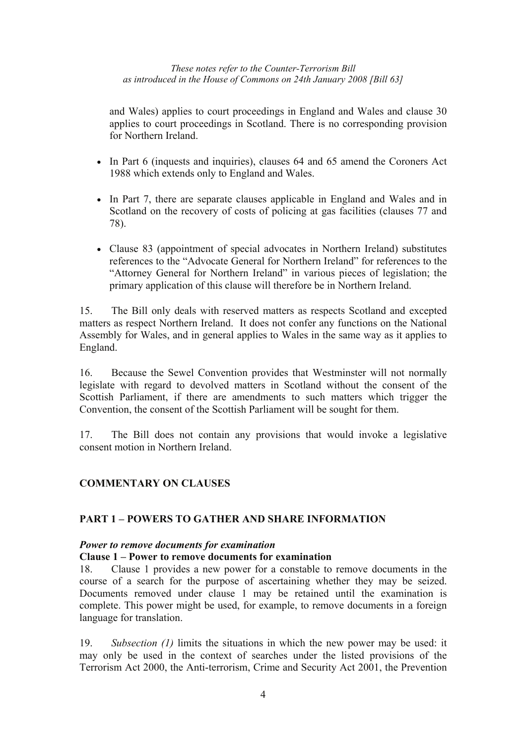and Wales) applies to court proceedings in England and Wales and clause 30 applies to court proceedings in Scotland. There is no corresponding provision for Northern Ireland.

- In Part 6 (inquests and inquiries), clauses 64 and 65 amend the Coroners Act 1988 which extends only to England and Wales.
- In Part 7, there are separate clauses applicable in England and Wales and in Scotland on the recovery of costs of policing at gas facilities (clauses 77 and 78).
- Clause 83 (appointment of special advocates in Northern Ireland) substitutes references to the "Advocate General for Northern Ireland" for references to the "Attorney General for Northern Ireland" in various pieces of legislation; the primary application of this clause will therefore be in Northern Ireland.

15. The Bill only deals with reserved matters as respects Scotland and excepted matters as respect Northern Ireland. It does not confer any functions on the National Assembly for Wales, and in general applies to Wales in the same way as it applies to England.

16. Because the Sewel Convention provides that Westminster will not normally legislate with regard to devolved matters in Scotland without the consent of the Scottish Parliament, if there are amendments to such matters which trigger the Convention, the consent of the Scottish Parliament will be sought for them.

17. The Bill does not contain any provisions that would invoke a legislative consent motion in Northern Ireland.

## **COMMENTARY ON CLAUSES**

## **PART 1 – POWERS TO GATHER AND SHARE INFORMATION**

#### *Power to remove documents for examination*

#### **Clause 1 – Power to remove documents for examination**

18. Clause 1 provides a new power for a constable to remove documents in the course of a search for the purpose of ascertaining whether they may be seized. Documents removed under clause 1 may be retained until the examination is complete. This power might be used, for example, to remove documents in a foreign language for translation.

19. *Subsection (1)* limits the situations in which the new power may be used: it may only be used in the context of searches under the listed provisions of the Terrorism Act 2000, the Anti-terrorism, Crime and Security Act 2001, the Prevention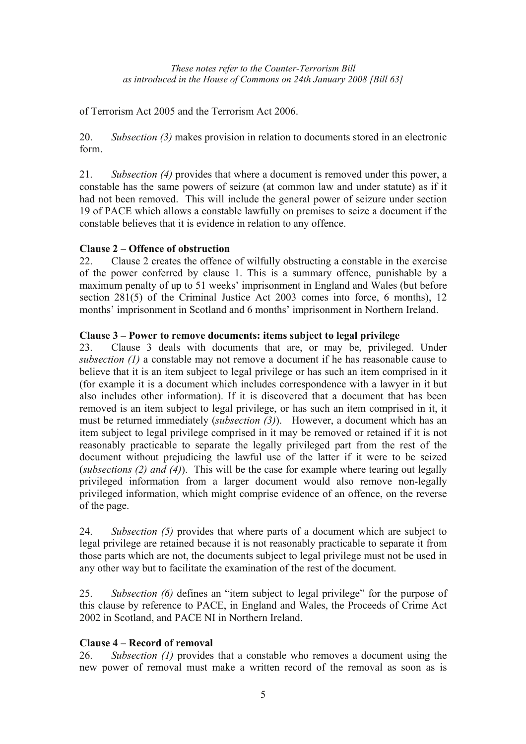of Terrorism Act 2005 and the Terrorism Act 2006.

20. *Subsection (3)* makes provision in relation to documents stored in an electronic form.

21. *Subsection (4)* provides that where a document is removed under this power, a constable has the same powers of seizure (at common law and under statute) as if it had not been removed. This will include the general power of seizure under section 19 of PACE which allows a constable lawfully on premises to seize a document if the constable believes that it is evidence in relation to any offence.

## **Clause 2 – Offence of obstruction**

22. Clause 2 creates the offence of wilfully obstructing a constable in the exercise of the power conferred by clause 1. This is a summary offence, punishable by a maximum penalty of up to 51 weeks' imprisonment in England and Wales (but before section 281(5) of the Criminal Justice Act 2003 comes into force, 6 months), 12 months' imprisonment in Scotland and 6 months' imprisonment in Northern Ireland.

### **Clause 3 – Power to remove documents: items subject to legal privilege**

23. Clause 3 deals with documents that are, or may be, privileged. Under *subsection (1)* a constable may not remove a document if he has reasonable cause to believe that it is an item subject to legal privilege or has such an item comprised in it (for example it is a document which includes correspondence with a lawyer in it but also includes other information). If it is discovered that a document that has been removed is an item subject to legal privilege, or has such an item comprised in it, it must be returned immediately (*subsection (3)*). However, a document which has an item subject to legal privilege comprised in it may be removed or retained if it is not reasonably practicable to separate the legally privileged part from the rest of the document without prejudicing the lawful use of the latter if it were to be seized (*subsections (2) and (4)*). This will be the case for example where tearing out legally privileged information from a larger document would also remove non-legally privileged information, which might comprise evidence of an offence, on the reverse of the page.

24. *Subsection (5)* provides that where parts of a document which are subject to legal privilege are retained because it is not reasonably practicable to separate it from those parts which are not, the documents subject to legal privilege must not be used in any other way but to facilitate the examination of the rest of the document.

25. *Subsection (6)* defines an "item subject to legal privilege" for the purpose of this clause by reference to PACE, in England and Wales, the Proceeds of Crime Act 2002 in Scotland, and PACE NI in Northern Ireland.

## **Clause 4 – Record of removal**

26. *Subsection (1)* provides that a constable who removes a document using the new power of removal must make a written record of the removal as soon as is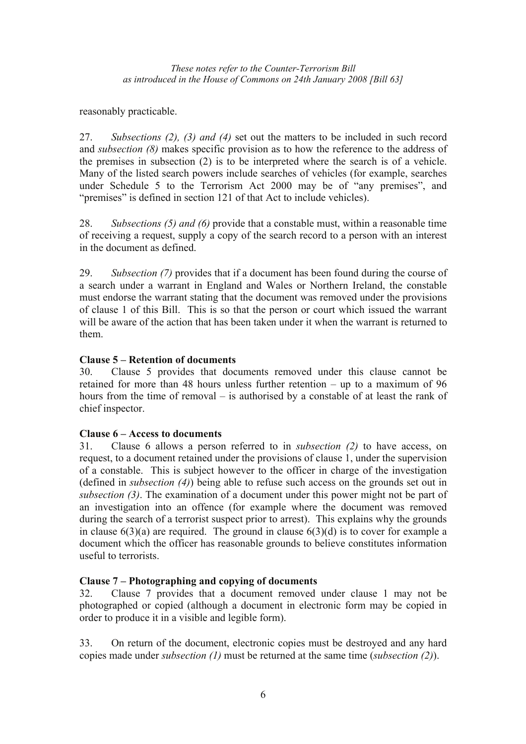reasonably practicable.

27. *Subsections (2), (3) and (4)* set out the matters to be included in such record and *subsection (8)* makes specific provision as to how the reference to the address of the premises in subsection (2) is to be interpreted where the search is of a vehicle. Many of the listed search powers include searches of vehicles (for example, searches under Schedule 5 to the Terrorism Act 2000 may be of "any premises", and "premises" is defined in section 121 of that Act to include vehicles).

28. *Subsections (5) and (6)* provide that a constable must, within a reasonable time of receiving a request, supply a copy of the search record to a person with an interest in the document as defined.

29. *Subsection (7)* provides that if a document has been found during the course of a search under a warrant in England and Wales or Northern Ireland, the constable must endorse the warrant stating that the document was removed under the provisions of clause 1 of this Bill. This is so that the person or court which issued the warrant will be aware of the action that has been taken under it when the warrant is returned to them.

## **Clause 5 – Retention of documents**

30. Clause 5 provides that documents removed under this clause cannot be retained for more than 48 hours unless further retention – up to a maximum of 96 hours from the time of removal – is authorised by a constable of at least the rank of chief inspector.

## **Clause 6 – Access to documents**

31. Clause 6 allows a person referred to in *subsection (2)* to have access, on request, to a document retained under the provisions of clause 1, under the supervision of a constable. This is subject however to the officer in charge of the investigation (defined in *subsection (4)*) being able to refuse such access on the grounds set out in *subsection (3)*. The examination of a document under this power might not be part of an investigation into an offence (for example where the document was removed during the search of a terrorist suspect prior to arrest). This explains why the grounds in clause  $6(3)(a)$  are required. The ground in clause  $6(3)(d)$  is to cover for example a document which the officer has reasonable grounds to believe constitutes information useful to terrorists.

## **Clause 7 – Photographing and copying of documents**

32. Clause 7 provides that a document removed under clause 1 may not be photographed or copied (although a document in electronic form may be copied in order to produce it in a visible and legible form).

33. On return of the document, electronic copies must be destroyed and any hard copies made under *subsection (1)* must be returned at the same time (*subsection (2)*).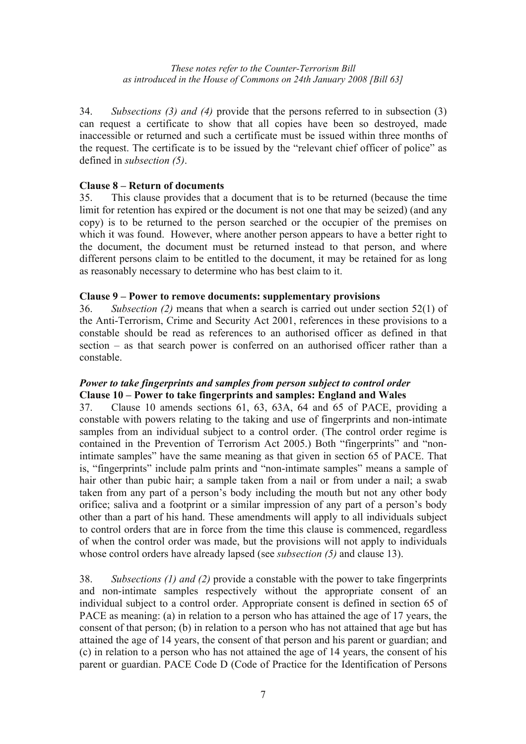34. *Subsections (3) and (4)* provide that the persons referred to in subsection (3) can request a certificate to show that all copies have been so destroyed, made inaccessible or returned and such a certificate must be issued within three months of the request. The certificate is to be issued by the "relevant chief officer of police" as defined in *subsection (5)*.

## **Clause 8 – Return of documents**

35. This clause provides that a document that is to be returned (because the time limit for retention has expired or the document is not one that may be seized) (and any copy) is to be returned to the person searched or the occupier of the premises on which it was found. However, where another person appears to have a better right to the document, the document must be returned instead to that person, and where different persons claim to be entitled to the document, it may be retained for as long as reasonably necessary to determine who has best claim to it.

## **Clause 9 – Power to remove documents: supplementary provisions**

36. *Subsection (2)* means that when a search is carried out under section 52(1) of the Anti-Terrorism, Crime and Security Act 2001, references in these provisions to a constable should be read as references to an authorised officer as defined in that section – as that search power is conferred on an authorised officer rather than a constable.

## *Power to take fingerprints and samples from person subject to control order*  **Clause 10 – Power to take fingerprints and samples: England and Wales**

37. Clause 10 amends sections 61, 63, 63A, 64 and 65 of PACE, providing a constable with powers relating to the taking and use of fingerprints and non-intimate samples from an individual subject to a control order. (The control order regime is contained in the Prevention of Terrorism Act 2005.) Both "fingerprints" and "nonintimate samples" have the same meaning as that given in section 65 of PACE. That is, "fingerprints" include palm prints and "non-intimate samples" means a sample of hair other than pubic hair; a sample taken from a nail or from under a nail; a swab taken from any part of a person's body including the mouth but not any other body orifice; saliva and a footprint or a similar impression of any part of a person's body other than a part of his hand. These amendments will apply to all individuals subject to control orders that are in force from the time this clause is commenced, regardless of when the control order was made, but the provisions will not apply to individuals whose control orders have already lapsed (see *subsection (5)* and clause 13).

38. *Subsections (1) and (2)* provide a constable with the power to take fingerprints and non-intimate samples respectively without the appropriate consent of an individual subject to a control order. Appropriate consent is defined in section 65 of PACE as meaning: (a) in relation to a person who has attained the age of 17 years, the consent of that person; (b) in relation to a person who has not attained that age but has attained the age of 14 years, the consent of that person and his parent or guardian; and (c) in relation to a person who has not attained the age of 14 years, the consent of his parent or guardian. PACE Code D (Code of Practice for the Identification of Persons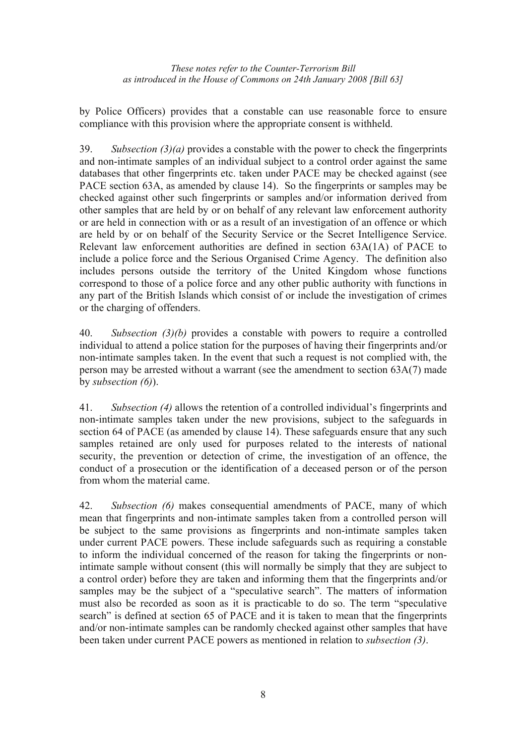by Police Officers) provides that a constable can use reasonable force to ensure compliance with this provision where the appropriate consent is withheld.

39. *Subsection (3)(a)* provides a constable with the power to check the fingerprints and non-intimate samples of an individual subject to a control order against the same databases that other fingerprints etc. taken under PACE may be checked against (see PACE section 63A, as amended by clause 14). So the fingerprints or samples may be checked against other such fingerprints or samples and/or information derived from other samples that are held by or on behalf of any relevant law enforcement authority or are held in connection with or as a result of an investigation of an offence or which are held by or on behalf of the Security Service or the Secret Intelligence Service. Relevant law enforcement authorities are defined in section 63A(1A) of PACE to include a police force and the Serious Organised Crime Agency. The definition also includes persons outside the territory of the United Kingdom whose functions correspond to those of a police force and any other public authority with functions in any part of the British Islands which consist of or include the investigation of crimes or the charging of offenders.

40. *Subsection (3)(b)* provides a constable with powers to require a controlled individual to attend a police station for the purposes of having their fingerprints and/or non-intimate samples taken. In the event that such a request is not complied with, the person may be arrested without a warrant (see the amendment to section 63A(7) made by *subsection (6)*).

41. *Subsection (4)* allows the retention of a controlled individual's fingerprints and non-intimate samples taken under the new provisions, subject to the safeguards in section 64 of PACE (as amended by clause 14). These safeguards ensure that any such samples retained are only used for purposes related to the interests of national security, the prevention or detection of crime, the investigation of an offence, the conduct of a prosecution or the identification of a deceased person or of the person from whom the material came.

42. *Subsection (6)* makes consequential amendments of PACE, many of which mean that fingerprints and non-intimate samples taken from a controlled person will be subject to the same provisions as fingerprints and non-intimate samples taken under current PACE powers. These include safeguards such as requiring a constable to inform the individual concerned of the reason for taking the fingerprints or nonintimate sample without consent (this will normally be simply that they are subject to a control order) before they are taken and informing them that the fingerprints and/or samples may be the subject of a "speculative search". The matters of information must also be recorded as soon as it is practicable to do so. The term "speculative search" is defined at section 65 of PACE and it is taken to mean that the fingerprints and/or non-intimate samples can be randomly checked against other samples that have been taken under current PACE powers as mentioned in relation to *subsection (3)*.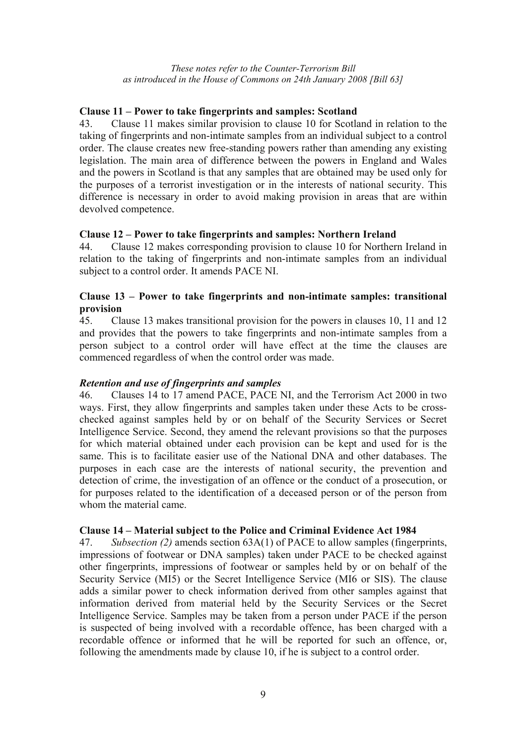### **Clause 11 – Power to take fingerprints and samples: Scotland**

43. Clause 11 makes similar provision to clause 10 for Scotland in relation to the taking of fingerprints and non-intimate samples from an individual subject to a control order. The clause creates new free-standing powers rather than amending any existing legislation. The main area of difference between the powers in England and Wales and the powers in Scotland is that any samples that are obtained may be used only for the purposes of a terrorist investigation or in the interests of national security. This difference is necessary in order to avoid making provision in areas that are within devolved competence.

### **Clause 12 – Power to take fingerprints and samples: Northern Ireland**

44. Clause 12 makes corresponding provision to clause 10 for Northern Ireland in relation to the taking of fingerprints and non-intimate samples from an individual subject to a control order. It amends PACE NI.

### **Clause 13 – Power to take fingerprints and non-intimate samples: transitional provision**

45. Clause 13 makes transitional provision for the powers in clauses 10, 11 and 12 and provides that the powers to take fingerprints and non-intimate samples from a person subject to a control order will have effect at the time the clauses are commenced regardless of when the control order was made.

## *Retention and use of fingerprints and samples*

46. Clauses 14 to 17 amend PACE, PACE NI, and the Terrorism Act 2000 in two ways. First, they allow fingerprints and samples taken under these Acts to be crosschecked against samples held by or on behalf of the Security Services or Secret Intelligence Service. Second, they amend the relevant provisions so that the purposes for which material obtained under each provision can be kept and used for is the same. This is to facilitate easier use of the National DNA and other databases. The purposes in each case are the interests of national security, the prevention and detection of crime, the investigation of an offence or the conduct of a prosecution, or for purposes related to the identification of a deceased person or of the person from whom the material came.

#### **Clause 14 – Material subject to the Police and Criminal Evidence Act 1984**

47. *Subsection (2)* amends section 63A(1) of PACE to allow samples (fingerprints, impressions of footwear or DNA samples) taken under PACE to be checked against other fingerprints, impressions of footwear or samples held by or on behalf of the Security Service (MI5) or the Secret Intelligence Service (MI6 or SIS). The clause adds a similar power to check information derived from other samples against that information derived from material held by the Security Services or the Secret Intelligence Service. Samples may be taken from a person under PACE if the person is suspected of being involved with a recordable offence, has been charged with a recordable offence or informed that he will be reported for such an offence, or, following the amendments made by clause 10, if he is subject to a control order.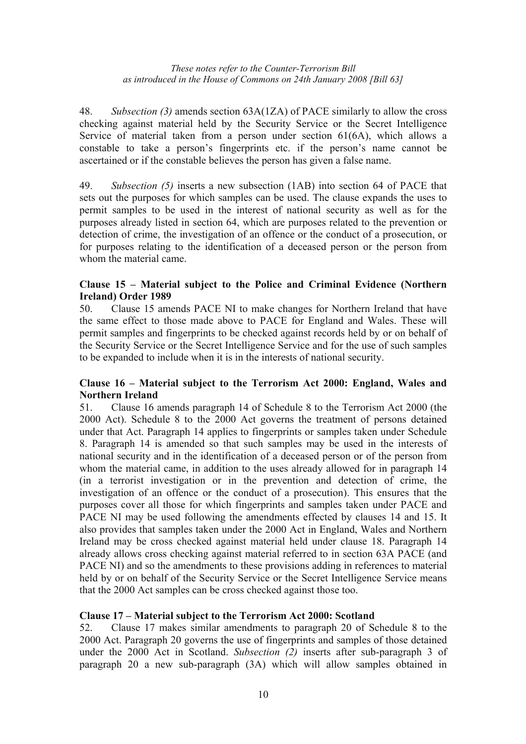48. *Subsection (3)* amends section 63A(1ZA) of PACE similarly to allow the cross checking against material held by the Security Service or the Secret Intelligence Service of material taken from a person under section 61(6A), which allows a constable to take a person's fingerprints etc. if the person's name cannot be ascertained or if the constable believes the person has given a false name.

49. *Subsection (5)* inserts a new subsection (1AB) into section 64 of PACE that sets out the purposes for which samples can be used. The clause expands the uses to permit samples to be used in the interest of national security as well as for the purposes already listed in section 64, which are purposes related to the prevention or detection of crime, the investigation of an offence or the conduct of a prosecution, or for purposes relating to the identification of a deceased person or the person from whom the material came.

## **Clause 15 – Material subject to the Police and Criminal Evidence (Northern Ireland) Order 1989**

50. Clause 15 amends PACE NI to make changes for Northern Ireland that have the same effect to those made above to PACE for England and Wales. These will permit samples and fingerprints to be checked against records held by or on behalf of the Security Service or the Secret Intelligence Service and for the use of such samples to be expanded to include when it is in the interests of national security.

## **Clause 16 – Material subject to the Terrorism Act 2000: England, Wales and Northern Ireland**

51. Clause 16 amends paragraph 14 of Schedule 8 to the Terrorism Act 2000 (the 2000 Act). Schedule 8 to the 2000 Act governs the treatment of persons detained under that Act. Paragraph 14 applies to fingerprints or samples taken under Schedule 8. Paragraph 14 is amended so that such samples may be used in the interests of national security and in the identification of a deceased person or of the person from whom the material came, in addition to the uses already allowed for in paragraph 14 (in a terrorist investigation or in the prevention and detection of crime, the investigation of an offence or the conduct of a prosecution). This ensures that the purposes cover all those for which fingerprints and samples taken under PACE and PACE NI may be used following the amendments effected by clauses 14 and 15. It also provides that samples taken under the 2000 Act in England, Wales and Northern Ireland may be cross checked against material held under clause 18. Paragraph 14 already allows cross checking against material referred to in section 63A PACE (and PACE NI) and so the amendments to these provisions adding in references to material held by or on behalf of the Security Service or the Secret Intelligence Service means that the 2000 Act samples can be cross checked against those too.

## **Clause 17 – Material subject to the Terrorism Act 2000: Scotland**

52. Clause 17 makes similar amendments to paragraph 20 of Schedule 8 to the 2000 Act. Paragraph 20 governs the use of fingerprints and samples of those detained under the 2000 Act in Scotland. *Subsection (2)* inserts after sub-paragraph 3 of paragraph 20 a new sub-paragraph (3A) which will allow samples obtained in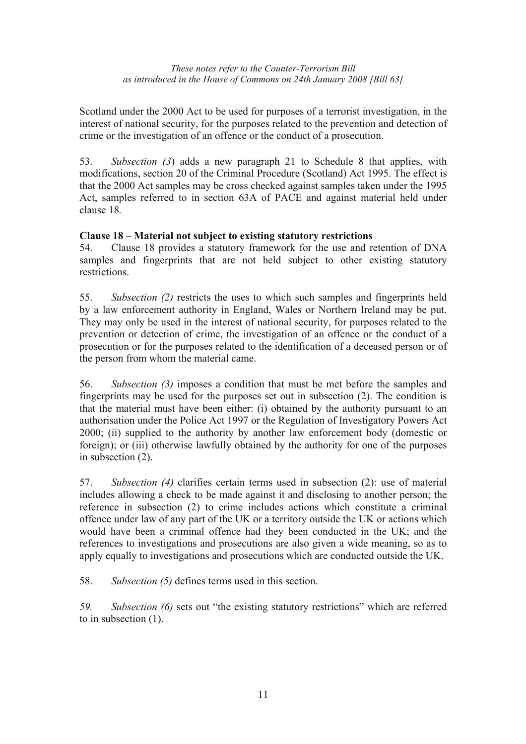Scotland under the 2000 Act to be used for purposes of a terrorist investigation, in the interest of national security, for the purposes related to the prevention and detection of crime or the investigation of an offence or the conduct of a prosecution.

53. *Subsection (3*) adds a new paragraph 21 to Schedule 8 that applies, with modifications, section 20 of the Criminal Procedure (Scotland) Act 1995. The effect is that the 2000 Act samples may be cross checked against samples taken under the 1995 Act, samples referred to in section 63A of PACE and against material held under clause 18*.*

## **Clause 18 – Material not subject to existing statutory restrictions**

54. Clause 18 provides a statutory framework for the use and retention of DNA samples and fingerprints that are not held subject to other existing statutory restrictions.

55. *Subsection (2)* restricts the uses to which such samples and fingerprints held by a law enforcement authority in England, Wales or Northern Ireland may be put. They may only be used in the interest of national security, for purposes related to the prevention or detection of crime, the investigation of an offence or the conduct of a prosecution or for the purposes related to the identification of a deceased person or of the person from whom the material came.

56. *Subsection (3)* imposes a condition that must be met before the samples and fingerprints may be used for the purposes set out in subsection (2). The condition is that the material must have been either: (i) obtained by the authority pursuant to an authorisation under the Police Act 1997 or the Regulation of Investigatory Powers Act 2000; (ii) supplied to the authority by another law enforcement body (domestic or foreign); or (iii) otherwise lawfully obtained by the authority for one of the purposes in subsection (2).

57. *Subsection (4)* clarifies certain terms used in subsection (2): use of material includes allowing a check to be made against it and disclosing to another person; the reference in subsection (2) to crime includes actions which constitute a criminal offence under law of any part of the UK or a territory outside the UK or actions which would have been a criminal offence had they been conducted in the UK; and the references to investigations and prosecutions are also given a wide meaning, so as to apply equally to investigations and prosecutions which are conducted outside the UK.

58. *Subsection (5)* defines terms used in this section.

*59. Subsection (6)* sets out "the existing statutory restrictions" which are referred to in subsection (1).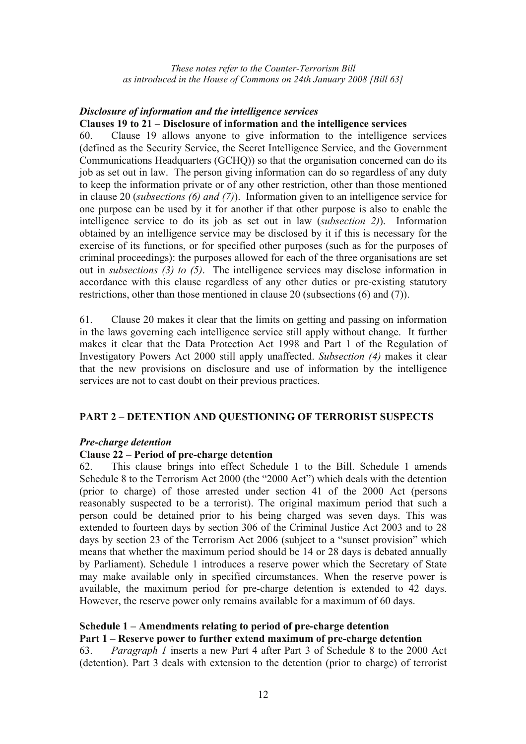#### *Disclosure of information and the intelligence services*  **Clauses 19 to 21 – Disclosure of information and the intelligence services**

60. Clause 19 allows anyone to give information to the intelligence services (defined as the Security Service, the Secret Intelligence Service, and the Government Communications Headquarters (GCHQ)) so that the organisation concerned can do its job as set out in law. The person giving information can do so regardless of any duty to keep the information private or of any other restriction, other than those mentioned in clause 20 (*subsections (6) and (7)*). Information given to an intelligence service for one purpose can be used by it for another if that other purpose is also to enable the intelligence service to do its job as set out in law (*subsection 2)*). Information obtained by an intelligence service may be disclosed by it if this is necessary for the exercise of its functions, or for specified other purposes (such as for the purposes of criminal proceedings): the purposes allowed for each of the three organisations are set out in *subsections (3) to (5)*. The intelligence services may disclose information in accordance with this clause regardless of any other duties or pre-existing statutory restrictions, other than those mentioned in clause 20 (subsections (6) and (7)).

61. Clause 20 makes it clear that the limits on getting and passing on information in the laws governing each intelligence service still apply without change. It further makes it clear that the Data Protection Act 1998 and Part 1 of the Regulation of Investigatory Powers Act 2000 still apply unaffected. *Subsection (4)* makes it clear that the new provisions on disclosure and use of information by the intelligence services are not to cast doubt on their previous practices.

#### **PART 2 – DETENTION AND QUESTIONING OF TERRORIST SUSPECTS**

#### *Pre-charge detention*

#### **Clause 22 – Period of pre-charge detention**

62. This clause brings into effect Schedule 1 to the Bill. Schedule 1 amends Schedule 8 to the Terrorism Act 2000 (the "2000 Act") which deals with the detention (prior to charge) of those arrested under section 41 of the 2000 Act (persons reasonably suspected to be a terrorist). The original maximum period that such a person could be detained prior to his being charged was seven days. This was extended to fourteen days by section 306 of the Criminal Justice Act 2003 and to 28 days by section 23 of the Terrorism Act 2006 (subject to a "sunset provision" which means that whether the maximum period should be 14 or 28 days is debated annually by Parliament). Schedule 1 introduces a reserve power which the Secretary of State may make available only in specified circumstances. When the reserve power is available, the maximum period for pre-charge detention is extended to 42 days. However, the reserve power only remains available for a maximum of 60 days.

## **Schedule 1 – Amendments relating to period of pre-charge detention**

#### **Part 1 – Reserve power to further extend maximum of pre-charge detention**

63. *Paragraph 1* inserts a new Part 4 after Part 3 of Schedule 8 to the 2000 Act (detention). Part 3 deals with extension to the detention (prior to charge) of terrorist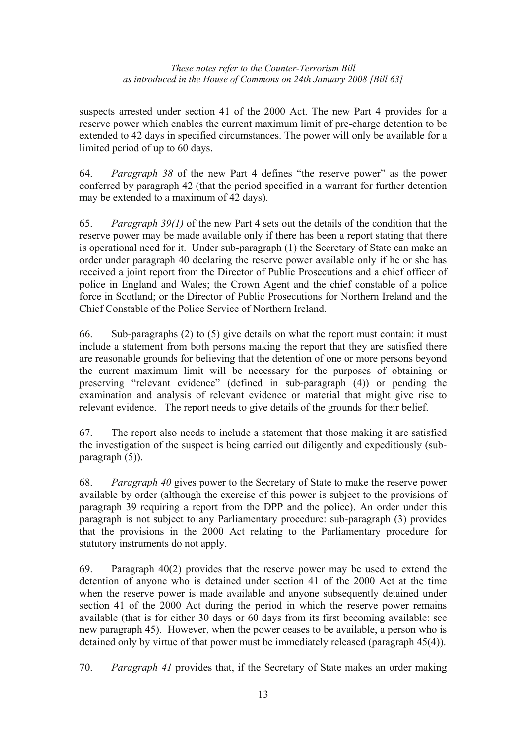suspects arrested under section 41 of the 2000 Act. The new Part 4 provides for a reserve power which enables the current maximum limit of pre-charge detention to be extended to 42 days in specified circumstances. The power will only be available for a limited period of up to 60 days.

64. *Paragraph 38* of the new Part 4 defines "the reserve power" as the power conferred by paragraph 42 (that the period specified in a warrant for further detention may be extended to a maximum of 42 days).

65. *Paragraph 39(1)* of the new Part 4 sets out the details of the condition that the reserve power may be made available only if there has been a report stating that there is operational need for it. Under sub-paragraph (1) the Secretary of State can make an order under paragraph 40 declaring the reserve power available only if he or she has received a joint report from the Director of Public Prosecutions and a chief officer of police in England and Wales; the Crown Agent and the chief constable of a police force in Scotland; or the Director of Public Prosecutions for Northern Ireland and the Chief Constable of the Police Service of Northern Ireland.

66. Sub-paragraphs (2) to (5) give details on what the report must contain: it must include a statement from both persons making the report that they are satisfied there are reasonable grounds for believing that the detention of one or more persons beyond the current maximum limit will be necessary for the purposes of obtaining or preserving "relevant evidence" (defined in sub-paragraph (4)) or pending the examination and analysis of relevant evidence or material that might give rise to relevant evidence. The report needs to give details of the grounds for their belief.

67. The report also needs to include a statement that those making it are satisfied the investigation of the suspect is being carried out diligently and expeditiously (subparagraph (5)).

68. *Paragraph 40* gives power to the Secretary of State to make the reserve power available by order (although the exercise of this power is subject to the provisions of paragraph 39 requiring a report from the DPP and the police). An order under this paragraph is not subject to any Parliamentary procedure: sub-paragraph (3) provides that the provisions in the 2000 Act relating to the Parliamentary procedure for statutory instruments do not apply.

69. Paragraph 40(2) provides that the reserve power may be used to extend the detention of anyone who is detained under section 41 of the 2000 Act at the time when the reserve power is made available and anyone subsequently detained under section 41 of the 2000 Act during the period in which the reserve power remains available (that is for either 30 days or 60 days from its first becoming available: see new paragraph 45). However, when the power ceases to be available, a person who is detained only by virtue of that power must be immediately released (paragraph 45(4)).

70. *Paragraph 41* provides that, if the Secretary of State makes an order making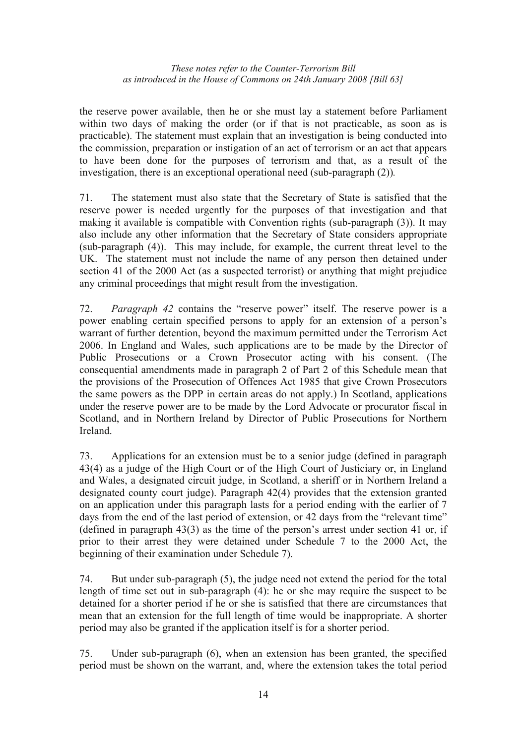the reserve power available, then he or she must lay a statement before Parliament within two days of making the order (or if that is not practicable, as soon as is practicable). The statement must explain that an investigation is being conducted into the commission, preparation or instigation of an act of terrorism or an act that appears to have been done for the purposes of terrorism and that, as a result of the investigation, there is an exceptional operational need (sub-paragraph (2))*.*

71. The statement must also state that the Secretary of State is satisfied that the reserve power is needed urgently for the purposes of that investigation and that making it available is compatible with Convention rights (sub-paragraph (3)). It may also include any other information that the Secretary of State considers appropriate (sub-paragraph (4)). This may include, for example, the current threat level to the UK. The statement must not include the name of any person then detained under section 41 of the 2000 Act (as a suspected terrorist) or anything that might prejudice any criminal proceedings that might result from the investigation.

72. *Paragraph 42* contains the "reserve power" itself. The reserve power is a power enabling certain specified persons to apply for an extension of a person's warrant of further detention, beyond the maximum permitted under the Terrorism Act 2006. In England and Wales, such applications are to be made by the Director of Public Prosecutions or a Crown Prosecutor acting with his consent. (The consequential amendments made in paragraph 2 of Part 2 of this Schedule mean that the provisions of the Prosecution of Offences Act 1985 that give Crown Prosecutors the same powers as the DPP in certain areas do not apply.) In Scotland, applications under the reserve power are to be made by the Lord Advocate or procurator fiscal in Scotland, and in Northern Ireland by Director of Public Prosecutions for Northern Ireland.

73. Applications for an extension must be to a senior judge (defined in paragraph 43(4) as a judge of the High Court or of the High Court of Justiciary or, in England and Wales, a designated circuit judge, in Scotland, a sheriff or in Northern Ireland a designated county court judge). Paragraph 42(4) provides that the extension granted on an application under this paragraph lasts for a period ending with the earlier of 7 days from the end of the last period of extension, or 42 days from the "relevant time" (defined in paragraph 43(3) as the time of the person's arrest under section 41 or, if prior to their arrest they were detained under Schedule 7 to the 2000 Act, the beginning of their examination under Schedule 7).

74. But under sub-paragraph (5), the judge need not extend the period for the total length of time set out in sub-paragraph (4): he or she may require the suspect to be detained for a shorter period if he or she is satisfied that there are circumstances that mean that an extension for the full length of time would be inappropriate. A shorter period may also be granted if the application itself is for a shorter period.

75. Under sub-paragraph (6), when an extension has been granted, the specified period must be shown on the warrant, and, where the extension takes the total period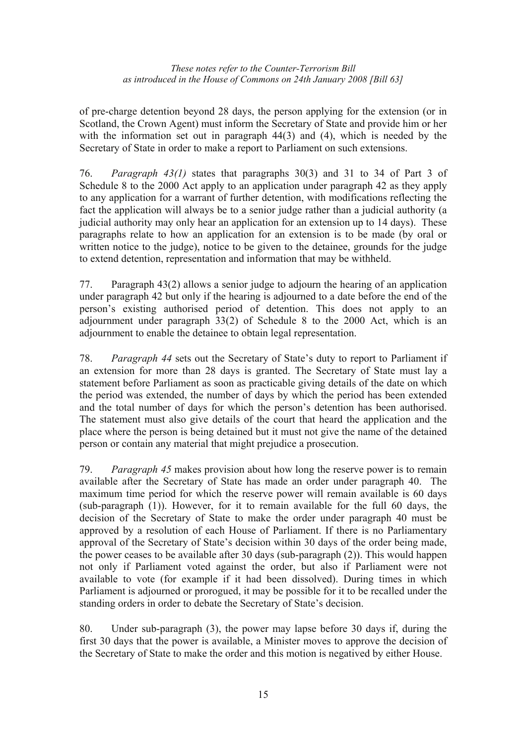of pre-charge detention beyond 28 days, the person applying for the extension (or in Scotland, the Crown Agent) must inform the Secretary of State and provide him or her with the information set out in paragraph 44(3) and (4), which is needed by the Secretary of State in order to make a report to Parliament on such extensions.

76. *Paragraph 43(1)* states that paragraphs 30(3) and 31 to 34 of Part 3 of Schedule 8 to the 2000 Act apply to an application under paragraph 42 as they apply to any application for a warrant of further detention, with modifications reflecting the fact the application will always be to a senior judge rather than a judicial authority (a judicial authority may only hear an application for an extension up to 14 days). These paragraphs relate to how an application for an extension is to be made (by oral or written notice to the judge), notice to be given to the detainee, grounds for the judge to extend detention, representation and information that may be withheld.

77. Paragraph 43(2) allows a senior judge to adjourn the hearing of an application under paragraph 42 but only if the hearing is adjourned to a date before the end of the person's existing authorised period of detention. This does not apply to an adjournment under paragraph 33(2) of Schedule 8 to the 2000 Act, which is an adjournment to enable the detainee to obtain legal representation.

78. *Paragraph 44* sets out the Secretary of State's duty to report to Parliament if an extension for more than 28 days is granted. The Secretary of State must lay a statement before Parliament as soon as practicable giving details of the date on which the period was extended, the number of days by which the period has been extended and the total number of days for which the person's detention has been authorised. The statement must also give details of the court that heard the application and the place where the person is being detained but it must not give the name of the detained person or contain any material that might prejudice a prosecution.

79. *Paragraph 45* makes provision about how long the reserve power is to remain available after the Secretary of State has made an order under paragraph 40. The maximum time period for which the reserve power will remain available is 60 days (sub-paragraph (1)). However, for it to remain available for the full 60 days, the decision of the Secretary of State to make the order under paragraph 40 must be approved by a resolution of each House of Parliament. If there is no Parliamentary approval of the Secretary of State's decision within 30 days of the order being made, the power ceases to be available after 30 days (sub-paragraph (2)). This would happen not only if Parliament voted against the order, but also if Parliament were not available to vote (for example if it had been dissolved). During times in which Parliament is adjourned or prorogued, it may be possible for it to be recalled under the standing orders in order to debate the Secretary of State's decision.

80. Under sub-paragraph (3), the power may lapse before 30 days if, during the first 30 days that the power is available, a Minister moves to approve the decision of the Secretary of State to make the order and this motion is negatived by either House.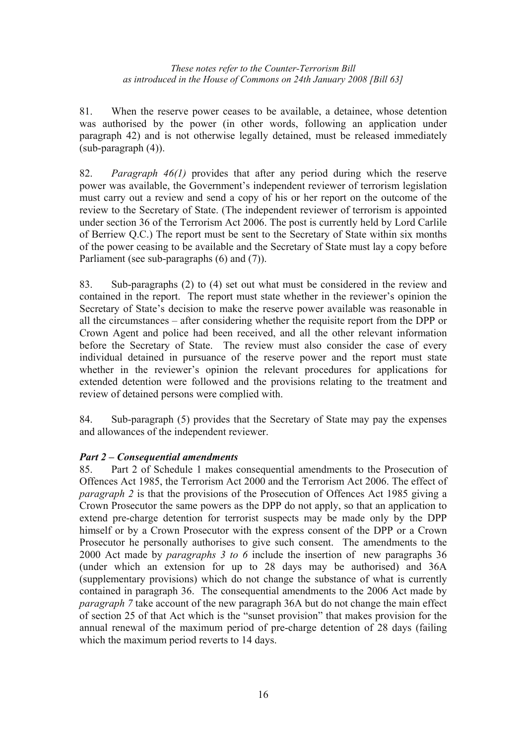81. When the reserve power ceases to be available, a detainee, whose detention was authorised by the power (in other words, following an application under paragraph 42) and is not otherwise legally detained, must be released immediately (sub-paragraph (4)).

82. *Paragraph 46(1)* provides that after any period during which the reserve power was available, the Government's independent reviewer of terrorism legislation must carry out a review and send a copy of his or her report on the outcome of the review to the Secretary of State. (The independent reviewer of terrorism is appointed under section 36 of the Terrorism Act 2006. The post is currently held by Lord Carlile of Berriew Q.C.) The report must be sent to the Secretary of State within six months of the power ceasing to be available and the Secretary of State must lay a copy before Parliament (see sub-paragraphs (6) and (7)).

83. Sub-paragraphs (2) to (4) set out what must be considered in the review and contained in the report. The report must state whether in the reviewer's opinion the Secretary of State's decision to make the reserve power available was reasonable in all the circumstances – after considering whether the requisite report from the DPP or Crown Agent and police had been received, and all the other relevant information before the Secretary of State. The review must also consider the case of every individual detained in pursuance of the reserve power and the report must state whether in the reviewer's opinion the relevant procedures for applications for extended detention were followed and the provisions relating to the treatment and review of detained persons were complied with.

84. Sub-paragraph (5) provides that the Secretary of State may pay the expenses and allowances of the independent reviewer.

## *Part 2 – Consequential amendments*

85. Part 2 of Schedule 1 makes consequential amendments to the Prosecution of Offences Act 1985, the Terrorism Act 2000 and the Terrorism Act 2006. The effect of *paragraph 2* is that the provisions of the Prosecution of Offences Act 1985 giving a Crown Prosecutor the same powers as the DPP do not apply, so that an application to extend pre-charge detention for terrorist suspects may be made only by the DPP himself or by a Crown Prosecutor with the express consent of the DPP or a Crown Prosecutor he personally authorises to give such consent. The amendments to the 2000 Act made by *paragraphs 3 to 6* include the insertion of new paragraphs 36 (under which an extension for up to 28 days may be authorised) and 36A (supplementary provisions) which do not change the substance of what is currently contained in paragraph 36. The consequential amendments to the 2006 Act made by *paragraph 7* take account of the new paragraph 36A but do not change the main effect of section 25 of that Act which is the "sunset provision" that makes provision for the annual renewal of the maximum period of pre-charge detention of 28 days (failing which the maximum period reverts to 14 days.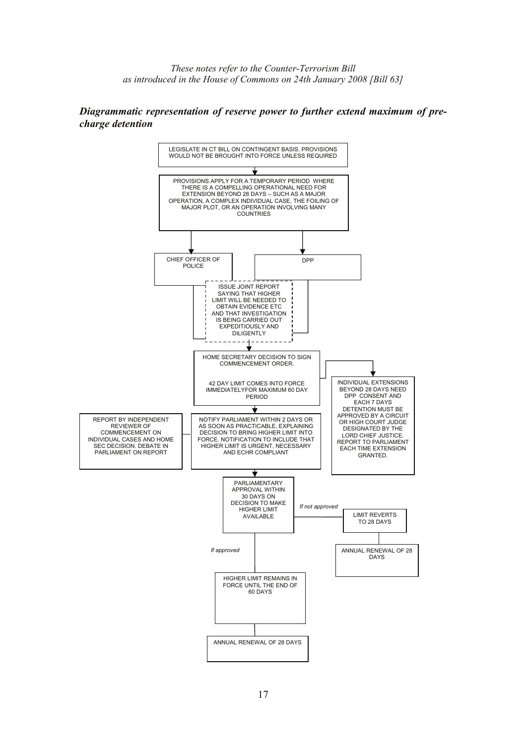#### *Diagrammatic representation of reserve power to further extend maximum of precharge detention*

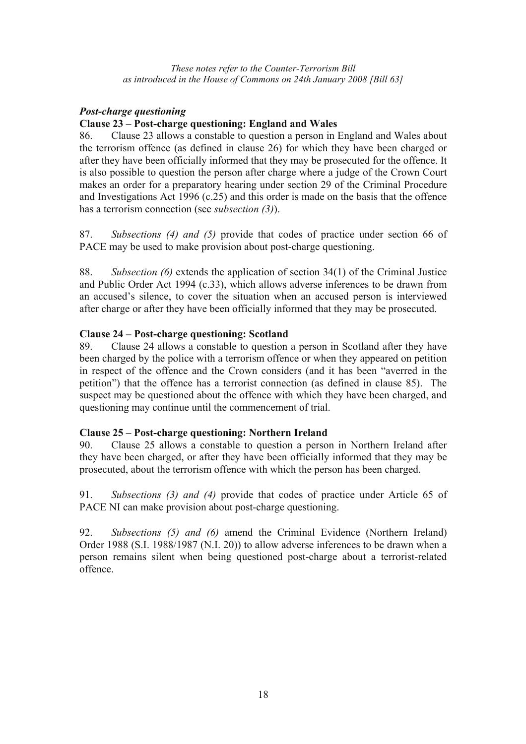## *Post-charge questioning*

## **Clause 23 – Post-charge questioning: England and Wales**

86. Clause 23 allows a constable to question a person in England and Wales about the terrorism offence (as defined in clause 26) for which they have been charged or after they have been officially informed that they may be prosecuted for the offence. It is also possible to question the person after charge where a judge of the Crown Court makes an order for a preparatory hearing under section 29 of the Criminal Procedure and Investigations Act 1996 (c.25) and this order is made on the basis that the offence has a terrorism connection (see *subsection (3)*).

87. *Subsections (4) and (5)* provide that codes of practice under section 66 of PACE may be used to make provision about post-charge questioning.

88. *Subsection (6)* extends the application of section 34(1) of the Criminal Justice and Public Order Act 1994 (c.33), which allows adverse inferences to be drawn from an accused's silence, to cover the situation when an accused person is interviewed after charge or after they have been officially informed that they may be prosecuted.

## **Clause 24 – Post-charge questioning: Scotland**

89. Clause 24 allows a constable to question a person in Scotland after they have been charged by the police with a terrorism offence or when they appeared on petition in respect of the offence and the Crown considers (and it has been "averred in the petition") that the offence has a terrorist connection (as defined in clause 85). The suspect may be questioned about the offence with which they have been charged, and questioning may continue until the commencement of trial.

## **Clause 25 – Post-charge questioning: Northern Ireland**

90. Clause 25 allows a constable to question a person in Northern Ireland after they have been charged, or after they have been officially informed that they may be prosecuted, about the terrorism offence with which the person has been charged.

91. *Subsections (3) and (4)* provide that codes of practice under Article 65 of PACE NI can make provision about post-charge questioning.

92. *Subsections (5) and (6)* amend the Criminal Evidence (Northern Ireland) Order 1988 (S.I. 1988/1987 (N.I. 20)) to allow adverse inferences to be drawn when a person remains silent when being questioned post-charge about a terrorist-related offence.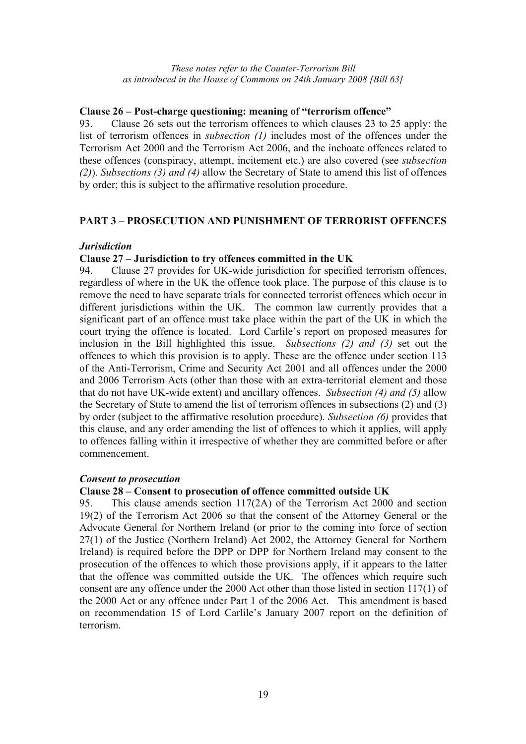#### **Clause 26 – Post-charge questioning: meaning of "terrorism offence"**

93. Clause 26 sets out the terrorism offences to which clauses 23 to 25 apply: the list of terrorism offences in *subsection (1)* includes most of the offences under the Terrorism Act 2000 and the Terrorism Act 2006, and the inchoate offences related to these offences (conspiracy, attempt, incitement etc.) are also covered (see *subsection (2)*). *Subsections (3) and (4)* allow the Secretary of State to amend this list of offences by order; this is subject to the affirmative resolution procedure.

## **PART 3 – PROSECUTION AND PUNISHMENT OF TERRORIST OFFENCES**

### *Jurisdiction*

### **Clause 27 – Jurisdiction to try offences committed in the UK**

94. Clause 27 provides for UK-wide jurisdiction for specified terrorism offences, regardless of where in the UK the offence took place. The purpose of this clause is to remove the need to have separate trials for connected terrorist offences which occur in different jurisdictions within the UK. The common law currently provides that a significant part of an offence must take place within the part of the UK in which the court trying the offence is located. Lord Carlile's report on proposed measures for inclusion in the Bill highlighted this issue. *Subsections (2) and (3)* set out the offences to which this provision is to apply. These are the offence under section 113 of the Anti-Terrorism, Crime and Security Act 2001 and all offences under the 2000 and 2006 Terrorism Acts (other than those with an extra-territorial element and those that do not have UK-wide extent) and ancillary offences. *Subsection (4) and (5)* allow the Secretary of State to amend the list of terrorism offences in subsections (2) and (3) by order (subject to the affirmative resolution procedure). *Subsection (6)* provides that this clause, and any order amending the list of offences to which it applies, will apply to offences falling within it irrespective of whether they are committed before or after commencement.

#### *Consent to prosecution*

#### **Clause 28 – Consent to prosecution of offence committed outside UK**

95. This clause amends section 117(2A) of the Terrorism Act 2000 and section 19(2) of the Terrorism Act 2006 so that the consent of the Attorney General or the Advocate General for Northern Ireland (or prior to the coming into force of section 27(1) of the Justice (Northern Ireland) Act 2002, the Attorney General for Northern Ireland) is required before the DPP or DPP for Northern Ireland may consent to the prosecution of the offences to which those provisions apply, if it appears to the latter that the offence was committed outside the UK. The offences which require such consent are any offence under the 2000 Act other than those listed in section 117(1) of the 2000 Act or any offence under Part 1 of the 2006 Act. This amendment is based on recommendation 15 of Lord Carlile's January 2007 report on the definition of terrorism.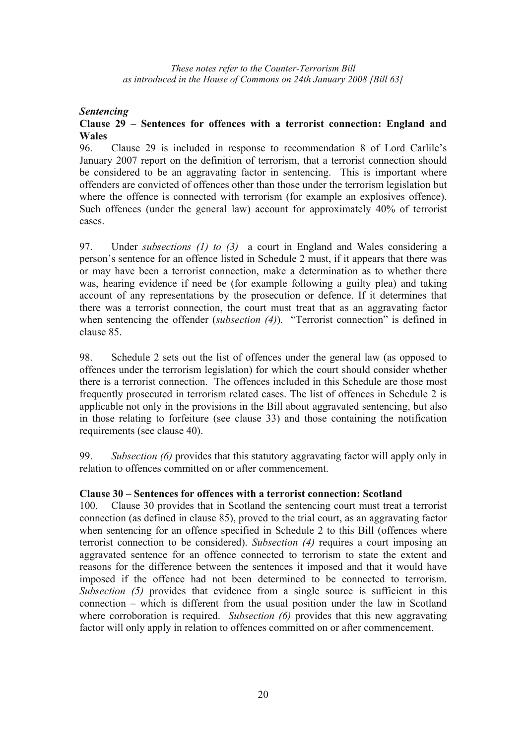## *Sentencing*

## **Clause 29 – Sentences for offences with a terrorist connection: England and Wales**

96. Clause 29 is included in response to recommendation 8 of Lord Carlile's January 2007 report on the definition of terrorism, that a terrorist connection should be considered to be an aggravating factor in sentencing. This is important where offenders are convicted of offences other than those under the terrorism legislation but where the offence is connected with terrorism (for example an explosives offence). Such offences (under the general law) account for approximately 40% of terrorist cases.

97. Under *subsections (1) to (3)* a court in England and Wales considering a person's sentence for an offence listed in Schedule 2 must, if it appears that there was or may have been a terrorist connection, make a determination as to whether there was, hearing evidence if need be (for example following a guilty plea) and taking account of any representations by the prosecution or defence. If it determines that there was a terrorist connection, the court must treat that as an aggravating factor when sentencing the offender (*subsection (4)*). "Terrorist connection" is defined in clause 85.

98. Schedule 2 sets out the list of offences under the general law (as opposed to offences under the terrorism legislation) for which the court should consider whether there is a terrorist connection. The offences included in this Schedule are those most frequently prosecuted in terrorism related cases. The list of offences in Schedule 2 is applicable not only in the provisions in the Bill about aggravated sentencing, but also in those relating to forfeiture (see clause 33) and those containing the notification requirements (see clause 40).

99. *Subsection (6)* provides that this statutory aggravating factor will apply only in relation to offences committed on or after commencement.

## **Clause 30 – Sentences for offences with a terrorist connection: Scotland**

100. Clause 30 provides that in Scotland the sentencing court must treat a terrorist connection (as defined in clause 85), proved to the trial court, as an aggravating factor when sentencing for an offence specified in Schedule 2 to this Bill (offences where terrorist connection to be considered). *Subsection (4)* requires a court imposing an aggravated sentence for an offence connected to terrorism to state the extent and reasons for the difference between the sentences it imposed and that it would have imposed if the offence had not been determined to be connected to terrorism. *Subsection (5)* provides that evidence from a single source is sufficient in this connection – which is different from the usual position under the law in Scotland where corroboration is required. *Subsection (6)* provides that this new aggravating factor will only apply in relation to offences committed on or after commencement.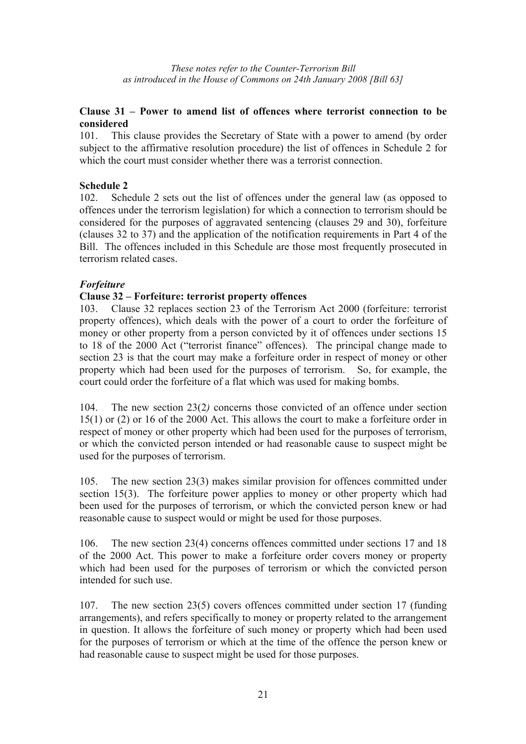## **Clause 31 – Power to amend list of offences where terrorist connection to be considered**

101. This clause provides the Secretary of State with a power to amend (by order subject to the affirmative resolution procedure) the list of offences in Schedule 2 for which the court must consider whether there was a terrorist connection.

## **Schedule 2**

102. Schedule 2 sets out the list of offences under the general law (as opposed to offences under the terrorism legislation) for which a connection to terrorism should be considered for the purposes of aggravated sentencing (clauses 29 and 30), forfeiture (clauses 32 to 37) and the application of the notification requirements in Part 4 of the Bill. The offences included in this Schedule are those most frequently prosecuted in terrorism related cases.

### *Forfeiture*

### **Clause 32 – Forfeiture: terrorist property offences**

103. Clause 32 replaces section 23 of the Terrorism Act 2000 (forfeiture: terrorist property offences), which deals with the power of a court to order the forfeiture of money or other property from a person convicted by it of offences under sections 15 to 18 of the 2000 Act ("terrorist finance" offences). The principal change made to section 23 is that the court may make a forfeiture order in respect of money or other property which had been used for the purposes of terrorism. So, for example, the court could order the forfeiture of a flat which was used for making bombs.

104. The new section 23(2*)* concerns those convicted of an offence under section 15(1) or (2) or 16 of the 2000 Act. This allows the court to make a forfeiture order in respect of money or other property which had been used for the purposes of terrorism, or which the convicted person intended or had reasonable cause to suspect might be used for the purposes of terrorism.

105. The new section 23(3) makes similar provision for offences committed under section 15(3). The forfeiture power applies to money or other property which had been used for the purposes of terrorism, or which the convicted person knew or had reasonable cause to suspect would or might be used for those purposes.

106. The new section 23(4) concerns offences committed under sections 17 and 18 of the 2000 Act. This power to make a forfeiture order covers money or property which had been used for the purposes of terrorism or which the convicted person intended for such use.

107. The new section 23(5) covers offences committed under section 17 (funding arrangements), and refers specifically to money or property related to the arrangement in question. It allows the forfeiture of such money or property which had been used for the purposes of terrorism or which at the time of the offence the person knew or had reasonable cause to suspect might be used for those purposes.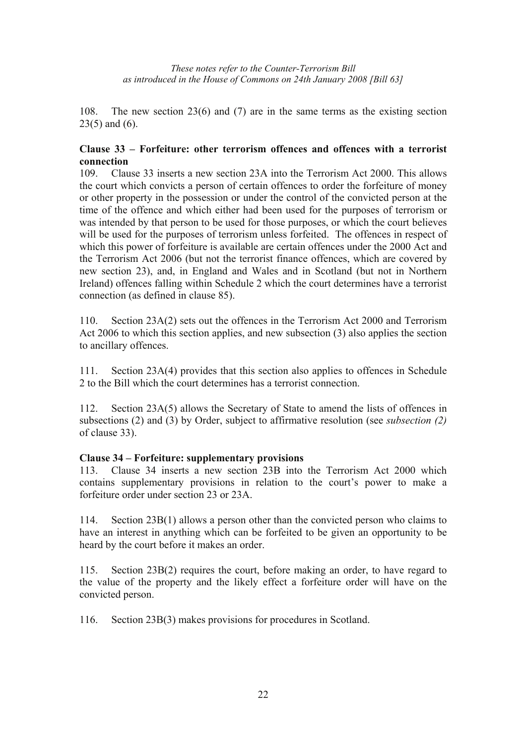108. The new section 23(6) and (7) are in the same terms as the existing section 23(5) and (6).

## **Clause 33 – Forfeiture: other terrorism offences and offences with a terrorist connection**

109. Clause 33 inserts a new section 23A into the Terrorism Act 2000. This allows the court which convicts a person of certain offences to order the forfeiture of money or other property in the possession or under the control of the convicted person at the time of the offence and which either had been used for the purposes of terrorism or was intended by that person to be used for those purposes, or which the court believes will be used for the purposes of terrorism unless forfeited. The offences in respect of which this power of forfeiture is available are certain offences under the 2000 Act and the Terrorism Act 2006 (but not the terrorist finance offences, which are covered by new section 23), and, in England and Wales and in Scotland (but not in Northern Ireland) offences falling within Schedule 2 which the court determines have a terrorist connection (as defined in clause 85).

110. Section 23A(2) sets out the offences in the Terrorism Act 2000 and Terrorism Act 2006 to which this section applies, and new subsection (3) also applies the section to ancillary offences.

111. Section 23A(4) provides that this section also applies to offences in Schedule 2 to the Bill which the court determines has a terrorist connection.

112. Section 23A(5) allows the Secretary of State to amend the lists of offences in subsections (2) and (3) by Order, subject to affirmative resolution (see *subsection (2)* of clause 33).

#### **Clause 34 – Forfeiture: supplementary provisions**

113. Clause 34 inserts a new section 23B into the Terrorism Act 2000 which contains supplementary provisions in relation to the court's power to make a forfeiture order under section 23 or 23A.

114. Section 23B(1) allows a person other than the convicted person who claims to have an interest in anything which can be forfeited to be given an opportunity to be heard by the court before it makes an order.

115. Section 23B(2) requires the court, before making an order, to have regard to the value of the property and the likely effect a forfeiture order will have on the convicted person.

116. Section 23B(3) makes provisions for procedures in Scotland.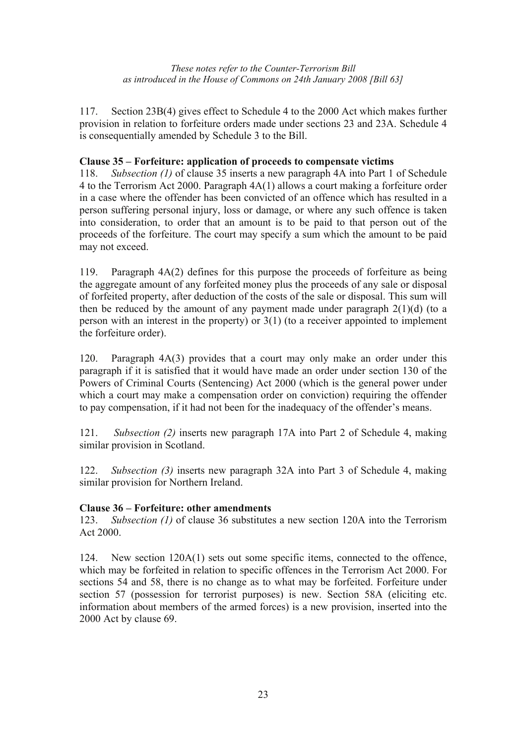117. Section 23B(4) gives effect to Schedule 4 to the 2000 Act which makes further provision in relation to forfeiture orders made under sections 23 and 23A. Schedule 4 is consequentially amended by Schedule 3 to the Bill.

## **Clause 35 – Forfeiture: application of proceeds to compensate victims**

118. *Subsection (1)* of clause 35 inserts a new paragraph 4A into Part 1 of Schedule 4 to the Terrorism Act 2000. Paragraph 4A(1) allows a court making a forfeiture order in a case where the offender has been convicted of an offence which has resulted in a person suffering personal injury, loss or damage, or where any such offence is taken into consideration, to order that an amount is to be paid to that person out of the proceeds of the forfeiture. The court may specify a sum which the amount to be paid may not exceed.

119. Paragraph 4A(2) defines for this purpose the proceeds of forfeiture as being the aggregate amount of any forfeited money plus the proceeds of any sale or disposal of forfeited property, after deduction of the costs of the sale or disposal. This sum will then be reduced by the amount of any payment made under paragraph  $2(1)(d)$  (to a person with an interest in the property) or 3(1) (to a receiver appointed to implement the forfeiture order).

120. Paragraph 4A(3) provides that a court may only make an order under this paragraph if it is satisfied that it would have made an order under section 130 of the Powers of Criminal Courts (Sentencing) Act 2000 (which is the general power under which a court may make a compensation order on conviction) requiring the offender to pay compensation, if it had not been for the inadequacy of the offender's means.

121. *Subsection (2)* inserts new paragraph 17A into Part 2 of Schedule 4, making similar provision in Scotland.

122. *Subsection (3)* inserts new paragraph 32A into Part 3 of Schedule 4, making similar provision for Northern Ireland.

## **Clause 36 – Forfeiture: other amendments**

123. *Subsection (1)* of clause 36 substitutes a new section 120A into the Terrorism Act 2000.

124. New section 120A(1) sets out some specific items, connected to the offence, which may be forfeited in relation to specific offences in the Terrorism Act 2000. For sections 54 and 58, there is no change as to what may be forfeited. Forfeiture under section 57 (possession for terrorist purposes) is new. Section 58A (eliciting etc. information about members of the armed forces) is a new provision, inserted into the 2000 Act by clause 69.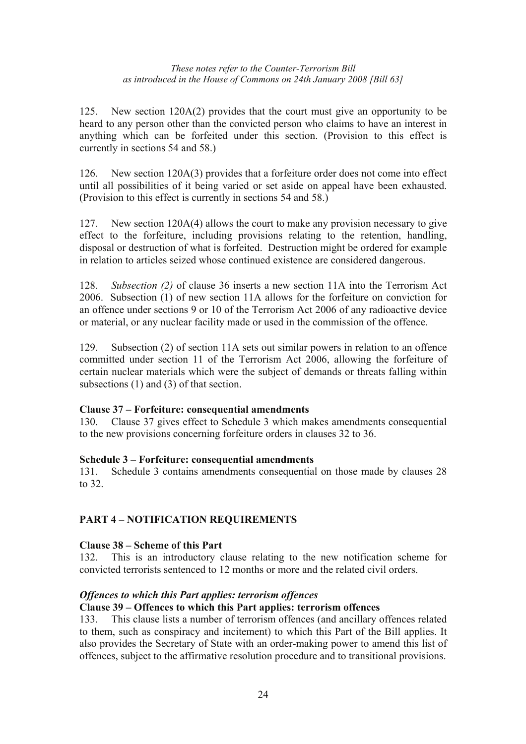125. New section 120A(2) provides that the court must give an opportunity to be heard to any person other than the convicted person who claims to have an interest in anything which can be forfeited under this section. (Provision to this effect is currently in sections 54 and 58.)

126. New section 120A(3) provides that a forfeiture order does not come into effect until all possibilities of it being varied or set aside on appeal have been exhausted. (Provision to this effect is currently in sections 54 and 58.)

127. New section 120A(4) allows the court to make any provision necessary to give effect to the forfeiture, including provisions relating to the retention, handling, disposal or destruction of what is forfeited. Destruction might be ordered for example in relation to articles seized whose continued existence are considered dangerous.

128. *Subsection (2)* of clause 36 inserts a new section 11A into the Terrorism Act 2006. Subsection (1) of new section 11A allows for the forfeiture on conviction for an offence under sections 9 or 10 of the Terrorism Act 2006 of any radioactive device or material, or any nuclear facility made or used in the commission of the offence.

129. Subsection (2) of section 11A sets out similar powers in relation to an offence committed under section 11 of the Terrorism Act 2006, allowing the forfeiture of certain nuclear materials which were the subject of demands or threats falling within subsections (1) and (3) of that section.

## **Clause 37 – Forfeiture: consequential amendments**

130. Clause 37 gives effect to Schedule 3 which makes amendments consequential to the new provisions concerning forfeiture orders in clauses 32 to 36.

#### **Schedule 3 – Forfeiture: consequential amendments**

131. Schedule 3 contains amendments consequential on those made by clauses 28 to 32.

## **PART 4 – NOTIFICATION REQUIREMENTS**

#### **Clause 38 – Scheme of this Part**

132. This is an introductory clause relating to the new notification scheme for convicted terrorists sentenced to 12 months or more and the related civil orders.

#### *Offences to which this Part applies: terrorism offences*

#### **Clause 39 – Offences to which this Part applies: terrorism offences**

133. This clause lists a number of terrorism offences (and ancillary offences related to them, such as conspiracy and incitement) to which this Part of the Bill applies. It also provides the Secretary of State with an order-making power to amend this list of offences, subject to the affirmative resolution procedure and to transitional provisions.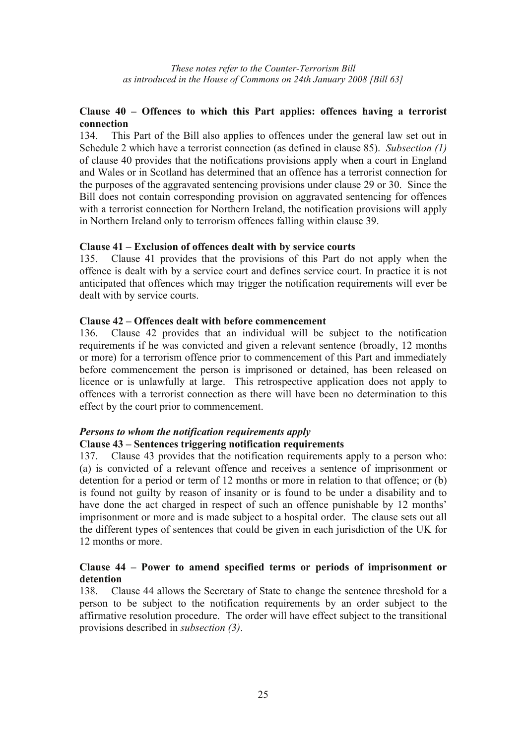## **Clause 40 – Offences to which this Part applies: offences having a terrorist connection**

134. This Part of the Bill also applies to offences under the general law set out in Schedule 2 which have a terrorist connection (as defined in clause 85). *Subsection (1)*  of clause 40 provides that the notifications provisions apply when a court in England and Wales or in Scotland has determined that an offence has a terrorist connection for the purposes of the aggravated sentencing provisions under clause 29 or 30. Since the Bill does not contain corresponding provision on aggravated sentencing for offences with a terrorist connection for Northern Ireland, the notification provisions will apply in Northern Ireland only to terrorism offences falling within clause 39.

#### **Clause 41 – Exclusion of offences dealt with by service courts**

135. Clause 41 provides that the provisions of this Part do not apply when the offence is dealt with by a service court and defines service court. In practice it is not anticipated that offences which may trigger the notification requirements will ever be dealt with by service courts.

## **Clause 42 – Offences dealt with before commencement**

136. Clause 42 provides that an individual will be subject to the notification requirements if he was convicted and given a relevant sentence (broadly, 12 months or more) for a terrorism offence prior to commencement of this Part and immediately before commencement the person is imprisoned or detained, has been released on licence or is unlawfully at large. This retrospective application does not apply to offences with a terrorist connection as there will have been no determination to this effect by the court prior to commencement.

## *Persons to whom the notification requirements apply*

## **Clause 43 – Sentences triggering notification requirements**

137. Clause 43 provides that the notification requirements apply to a person who: (a) is convicted of a relevant offence and receives a sentence of imprisonment or detention for a period or term of 12 months or more in relation to that offence; or (b) is found not guilty by reason of insanity or is found to be under a disability and to have done the act charged in respect of such an offence punishable by 12 months' imprisonment or more and is made subject to a hospital order. The clause sets out all the different types of sentences that could be given in each jurisdiction of the UK for 12 months or more.

### **Clause 44 – Power to amend specified terms or periods of imprisonment or detention**

138. Clause 44 allows the Secretary of State to change the sentence threshold for a person to be subject to the notification requirements by an order subject to the affirmative resolution procedure. The order will have effect subject to the transitional provisions described in *subsection (3)*.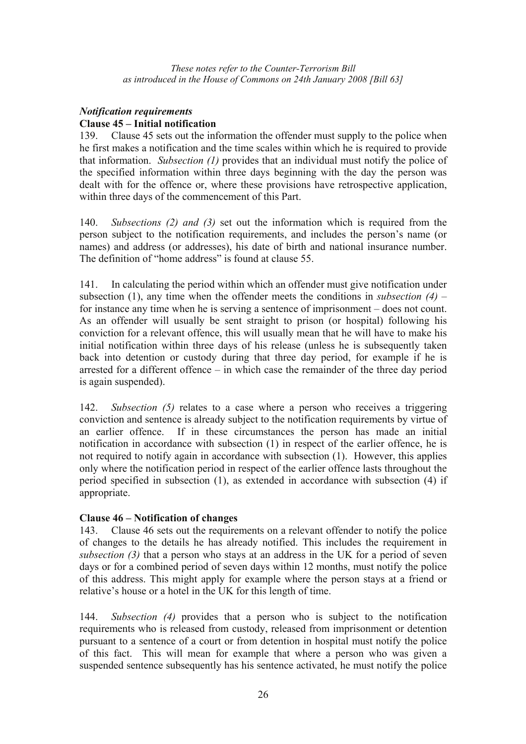## *Notification requirements*  **Clause 45 – Initial notification**

139. Clause 45 sets out the information the offender must supply to the police when he first makes a notification and the time scales within which he is required to provide that information. *Subsection (1)* provides that an individual must notify the police of the specified information within three days beginning with the day the person was dealt with for the offence or, where these provisions have retrospective application, within three days of the commencement of this Part.

140. *Subsections (2) and (3)* set out the information which is required from the person subject to the notification requirements, and includes the person's name (or names) and address (or addresses), his date of birth and national insurance number. The definition of "home address" is found at clause 55.

141. In calculating the period within which an offender must give notification under subsection (1), any time when the offender meets the conditions in *subsection (4)* – for instance any time when he is serving a sentence of imprisonment – does not count. As an offender will usually be sent straight to prison (or hospital) following his conviction for a relevant offence, this will usually mean that he will have to make his initial notification within three days of his release (unless he is subsequently taken back into detention or custody during that three day period, for example if he is arrested for a different offence – in which case the remainder of the three day period is again suspended).

142. *Subsection (5)* relates to a case where a person who receives a triggering conviction and sentence is already subject to the notification requirements by virtue of an earlier offence. If in these circumstances the person has made an initial notification in accordance with subsection (1) in respect of the earlier offence, he is not required to notify again in accordance with subsection (1). However, this applies only where the notification period in respect of the earlier offence lasts throughout the period specified in subsection (1), as extended in accordance with subsection (4) if appropriate.

## **Clause 46 – Notification of changes**

143. Clause 46 sets out the requirements on a relevant offender to notify the police of changes to the details he has already notified. This includes the requirement in *subsection (3)* that a person who stays at an address in the UK for a period of seven days or for a combined period of seven days within 12 months, must notify the police of this address. This might apply for example where the person stays at a friend or relative's house or a hotel in the UK for this length of time.

144. *Subsection (4)* provides that a person who is subject to the notification requirements who is released from custody, released from imprisonment or detention pursuant to a sentence of a court or from detention in hospital must notify the police of this fact. This will mean for example that where a person who was given a suspended sentence subsequently has his sentence activated, he must notify the police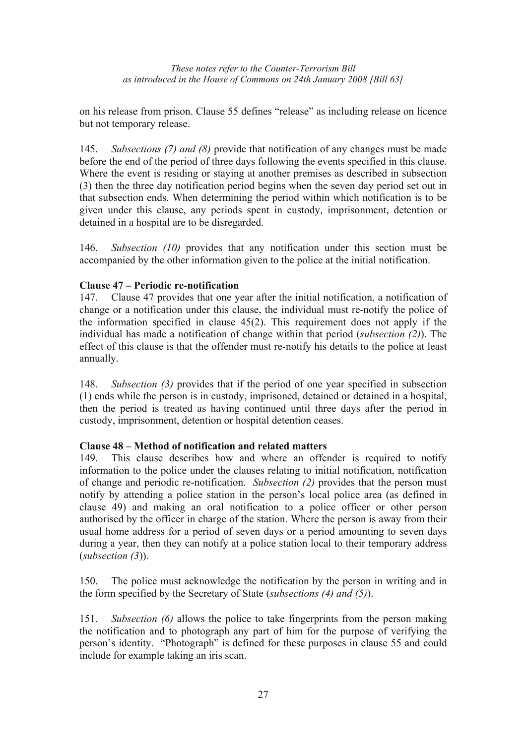on his release from prison. Clause 55 defines "release" as including release on licence but not temporary release.

145. *Subsections (7) and (8)* provide that notification of any changes must be made before the end of the period of three days following the events specified in this clause. Where the event is residing or staying at another premises as described in subsection (3) then the three day notification period begins when the seven day period set out in that subsection ends. When determining the period within which notification is to be given under this clause, any periods spent in custody, imprisonment, detention or detained in a hospital are to be disregarded.

146. *Subsection (10)* provides that any notification under this section must be accompanied by the other information given to the police at the initial notification.

## **Clause 47 – Periodic re-notification**

147. Clause 47 provides that one year after the initial notification, a notification of change or a notification under this clause, the individual must re-notify the police of the information specified in clause 45(2). This requirement does not apply if the individual has made a notification of change within that period (*subsection (2)*). The effect of this clause is that the offender must re-notify his details to the police at least annually.

148. *Subsection (3)* provides that if the period of one year specified in subsection (1) ends while the person is in custody, imprisoned, detained or detained in a hospital, then the period is treated as having continued until three days after the period in custody, imprisonment, detention or hospital detention ceases.

## **Clause 48 – Method of notification and related matters**

149. This clause describes how and where an offender is required to notify information to the police under the clauses relating to initial notification, notification of change and periodic re-notification. *Subsection (2)* provides that the person must notify by attending a police station in the person's local police area (as defined in clause 49) and making an oral notification to a police officer or other person authorised by the officer in charge of the station. Where the person is away from their usual home address for a period of seven days or a period amounting to seven days during a year, then they can notify at a police station local to their temporary address (*subsection (3*)).

150. The police must acknowledge the notification by the person in writing and in the form specified by the Secretary of State (*subsections (4) and (5)*).

151. *Subsection (6)* allows the police to take fingerprints from the person making the notification and to photograph any part of him for the purpose of verifying the person's identity. "Photograph" is defined for these purposes in clause 55 and could include for example taking an iris scan.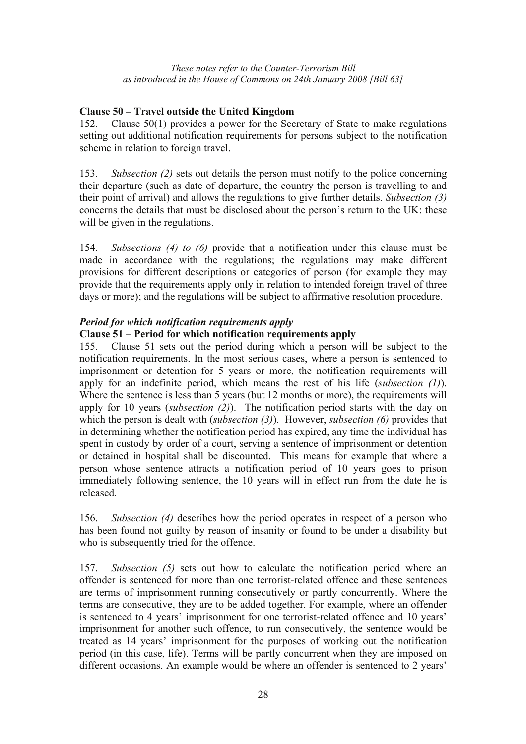## **Clause 50 – Travel outside the United Kingdom**

152. Clause 50(1) provides a power for the Secretary of State to make regulations setting out additional notification requirements for persons subject to the notification scheme in relation to foreign travel.

153. *Subsection (2)* sets out details the person must notify to the police concerning their departure (such as date of departure, the country the person is travelling to and their point of arrival) and allows the regulations to give further details. *Subsection (3)* concerns the details that must be disclosed about the person's return to the UK: these will be given in the regulations.

154. *Subsections (4) to (6)* provide that a notification under this clause must be made in accordance with the regulations; the regulations may make different provisions for different descriptions or categories of person (for example they may provide that the requirements apply only in relation to intended foreign travel of three days or more); and the regulations will be subject to affirmative resolution procedure.

## *Period for which notification requirements apply*

## **Clause 51 – Period for which notification requirements apply**

155. Clause 51 sets out the period during which a person will be subject to the notification requirements. In the most serious cases, where a person is sentenced to imprisonment or detention for 5 years or more, the notification requirements will apply for an indefinite period, which means the rest of his life (*subsection (1)*). Where the sentence is less than 5 years (but 12 months or more), the requirements will apply for 10 years (*subsection (2)*). The notification period starts with the day on which the person is dealt with (*subsection (3)*). However, *subsection (6)* provides that in determining whether the notification period has expired, any time the individual has spent in custody by order of a court, serving a sentence of imprisonment or detention or detained in hospital shall be discounted. This means for example that where a person whose sentence attracts a notification period of 10 years goes to prison immediately following sentence, the 10 years will in effect run from the date he is released.

156. *Subsection (4)* describes how the period operates in respect of a person who has been found not guilty by reason of insanity or found to be under a disability but who is subsequently tried for the offence.

157. *Subsection (5)* sets out how to calculate the notification period where an offender is sentenced for more than one terrorist-related offence and these sentences are terms of imprisonment running consecutively or partly concurrently. Where the terms are consecutive, they are to be added together. For example, where an offender is sentenced to 4 years' imprisonment for one terrorist-related offence and 10 years' imprisonment for another such offence, to run consecutively, the sentence would be treated as 14 years' imprisonment for the purposes of working out the notification period (in this case, life). Terms will be partly concurrent when they are imposed on different occasions. An example would be where an offender is sentenced to 2 years'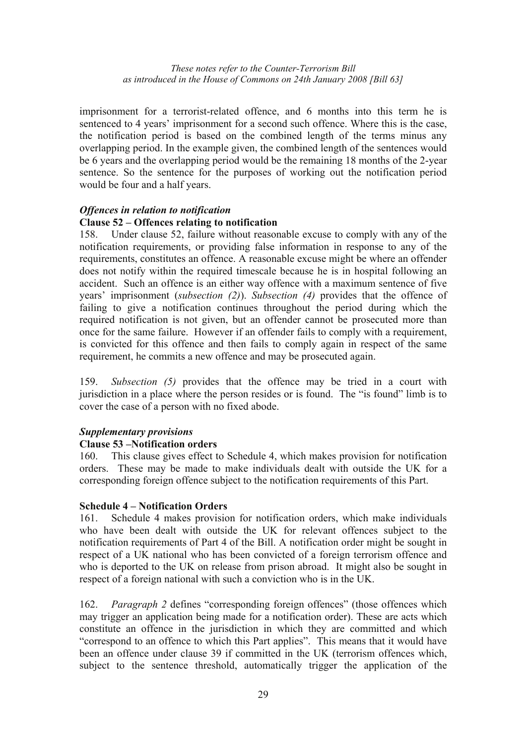imprisonment for a terrorist-related offence, and 6 months into this term he is sentenced to 4 years' imprisonment for a second such offence. Where this is the case, the notification period is based on the combined length of the terms minus any overlapping period. In the example given, the combined length of the sentences would be 6 years and the overlapping period would be the remaining 18 months of the 2-year sentence. So the sentence for the purposes of working out the notification period would be four and a half years.

## *Offences in relation to notification*

### **Clause 52 – Offences relating to notification**

158. Under clause 52, failure without reasonable excuse to comply with any of the notification requirements, or providing false information in response to any of the requirements, constitutes an offence. A reasonable excuse might be where an offender does not notify within the required timescale because he is in hospital following an accident. Such an offence is an either way offence with a maximum sentence of five years' imprisonment (*subsection (2)*). *Subsection (4)* provides that the offence of failing to give a notification continues throughout the period during which the required notification is not given, but an offender cannot be prosecuted more than once for the same failure. However if an offender fails to comply with a requirement, is convicted for this offence and then fails to comply again in respect of the same requirement, he commits a new offence and may be prosecuted again.

159. *Subsection (5)* provides that the offence may be tried in a court with jurisdiction in a place where the person resides or is found. The "is found" limb is to cover the case of a person with no fixed abode.

#### *Supplementary provisions*

#### **Clause 53 –Notification orders**

160. This clause gives effect to Schedule 4, which makes provision for notification orders. These may be made to make individuals dealt with outside the UK for a corresponding foreign offence subject to the notification requirements of this Part.

#### **Schedule 4 – Notification Orders**

161. Schedule 4 makes provision for notification orders, which make individuals who have been dealt with outside the UK for relevant offences subject to the notification requirements of Part 4 of the Bill. A notification order might be sought in respect of a UK national who has been convicted of a foreign terrorism offence and who is deported to the UK on release from prison abroad. It might also be sought in respect of a foreign national with such a conviction who is in the UK.

162. *Paragraph 2* defines "corresponding foreign offences" (those offences which may trigger an application being made for a notification order). These are acts which constitute an offence in the jurisdiction in which they are committed and which "correspond to an offence to which this Part applies". This means that it would have been an offence under clause 39 if committed in the UK (terrorism offences which, subject to the sentence threshold, automatically trigger the application of the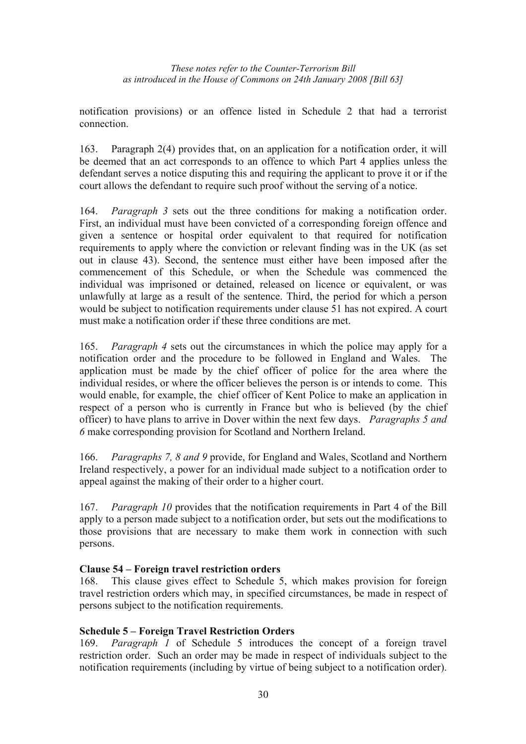notification provisions) or an offence listed in Schedule 2 that had a terrorist connection.

163. Paragraph 2(4) provides that, on an application for a notification order, it will be deemed that an act corresponds to an offence to which Part 4 applies unless the defendant serves a notice disputing this and requiring the applicant to prove it or if the court allows the defendant to require such proof without the serving of a notice.

164. *Paragraph 3* sets out the three conditions for making a notification order. First, an individual must have been convicted of a corresponding foreign offence and given a sentence or hospital order equivalent to that required for notification requirements to apply where the conviction or relevant finding was in the UK (as set out in clause 43). Second, the sentence must either have been imposed after the commencement of this Schedule, or when the Schedule was commenced the individual was imprisoned or detained, released on licence or equivalent, or was unlawfully at large as a result of the sentence. Third, the period for which a person would be subject to notification requirements under clause 51 has not expired. A court must make a notification order if these three conditions are met.

165. *Paragraph 4* sets out the circumstances in which the police may apply for a notification order and the procedure to be followed in England and Wales. The application must be made by the chief officer of police for the area where the individual resides, or where the officer believes the person is or intends to come. This would enable, for example, the chief officer of Kent Police to make an application in respect of a person who is currently in France but who is believed (by the chief officer) to have plans to arrive in Dover within the next few days. *Paragraphs 5 and 6* make corresponding provision for Scotland and Northern Ireland.

166. *Paragraphs 7, 8 and 9* provide, for England and Wales, Scotland and Northern Ireland respectively, a power for an individual made subject to a notification order to appeal against the making of their order to a higher court.

167. *Paragraph 10* provides that the notification requirements in Part 4 of the Bill apply to a person made subject to a notification order, but sets out the modifications to those provisions that are necessary to make them work in connection with such persons.

## **Clause 54 – Foreign travel restriction orders**

168. This clause gives effect to Schedule 5, which makes provision for foreign travel restriction orders which may, in specified circumstances, be made in respect of persons subject to the notification requirements.

## **Schedule 5 – Foreign Travel Restriction Orders**

169. *Paragraph 1* of Schedule 5 introduces the concept of a foreign travel restriction order. Such an order may be made in respect of individuals subject to the notification requirements (including by virtue of being subject to a notification order).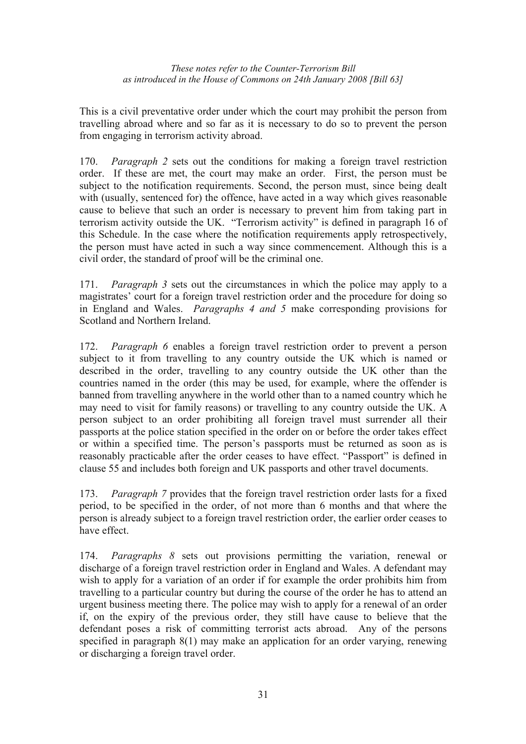This is a civil preventative order under which the court may prohibit the person from travelling abroad where and so far as it is necessary to do so to prevent the person from engaging in terrorism activity abroad.

170. *Paragraph 2* sets out the conditions for making a foreign travel restriction order. If these are met, the court may make an order. First, the person must be subject to the notification requirements. Second, the person must, since being dealt with (usually, sentenced for) the offence, have acted in a way which gives reasonable cause to believe that such an order is necessary to prevent him from taking part in terrorism activity outside the UK. "Terrorism activity" is defined in paragraph 16 of this Schedule. In the case where the notification requirements apply retrospectively, the person must have acted in such a way since commencement. Although this is a civil order, the standard of proof will be the criminal one.

171. *Paragraph 3* sets out the circumstances in which the police may apply to a magistrates' court for a foreign travel restriction order and the procedure for doing so in England and Wales. *Paragraphs 4 and 5* make corresponding provisions for Scotland and Northern Ireland.

172. *Paragraph 6* enables a foreign travel restriction order to prevent a person subject to it from travelling to any country outside the UK which is named or described in the order, travelling to any country outside the UK other than the countries named in the order (this may be used, for example, where the offender is banned from travelling anywhere in the world other than to a named country which he may need to visit for family reasons) or travelling to any country outside the UK. A person subject to an order prohibiting all foreign travel must surrender all their passports at the police station specified in the order on or before the order takes effect or within a specified time. The person's passports must be returned as soon as is reasonably practicable after the order ceases to have effect. "Passport" is defined in clause 55 and includes both foreign and UK passports and other travel documents.

173. *Paragraph 7* provides that the foreign travel restriction order lasts for a fixed period, to be specified in the order, of not more than 6 months and that where the person is already subject to a foreign travel restriction order, the earlier order ceases to have effect.

174. *Paragraphs 8* sets out provisions permitting the variation, renewal or discharge of a foreign travel restriction order in England and Wales. A defendant may wish to apply for a variation of an order if for example the order prohibits him from travelling to a particular country but during the course of the order he has to attend an urgent business meeting there. The police may wish to apply for a renewal of an order if, on the expiry of the previous order, they still have cause to believe that the defendant poses a risk of committing terrorist acts abroad. Any of the persons specified in paragraph 8(1) may make an application for an order varying, renewing or discharging a foreign travel order.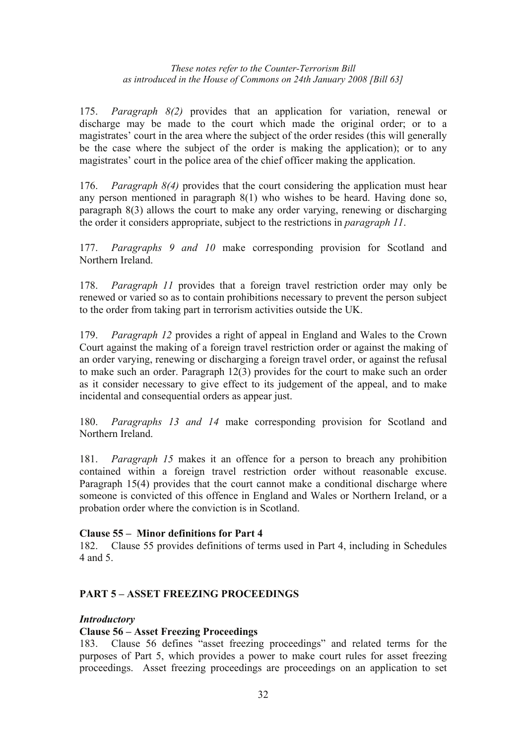175. *Paragraph 8(2)* provides that an application for variation, renewal or discharge may be made to the court which made the original order; or to a magistrates' court in the area where the subject of the order resides (this will generally be the case where the subject of the order is making the application); or to any magistrates' court in the police area of the chief officer making the application.

176. *Paragraph 8(4)* provides that the court considering the application must hear any person mentioned in paragraph 8(1) who wishes to be heard. Having done so, paragraph 8(3) allows the court to make any order varying, renewing or discharging the order it considers appropriate, subject to the restrictions in *paragraph 11*.

177. *Paragraphs 9 and 10* make corresponding provision for Scotland and Northern Ireland.

178. *Paragraph 11* provides that a foreign travel restriction order may only be renewed or varied so as to contain prohibitions necessary to prevent the person subject to the order from taking part in terrorism activities outside the UK.

179. *Paragraph 12* provides a right of appeal in England and Wales to the Crown Court against the making of a foreign travel restriction order or against the making of an order varying, renewing or discharging a foreign travel order, or against the refusal to make such an order. Paragraph 12(3) provides for the court to make such an order as it consider necessary to give effect to its judgement of the appeal, and to make incidental and consequential orders as appear just.

180. *Paragraphs 13 and 14* make corresponding provision for Scotland and Northern Ireland.

181. *Paragraph 15* makes it an offence for a person to breach any prohibition contained within a foreign travel restriction order without reasonable excuse. Paragraph 15(4) provides that the court cannot make a conditional discharge where someone is convicted of this offence in England and Wales or Northern Ireland, or a probation order where the conviction is in Scotland.

## **Clause 55 – Minor definitions for Part 4**

182. Clause 55 provides definitions of terms used in Part 4, including in Schedules 4 and 5.

## **PART 5 – ASSET FREEZING PROCEEDINGS**

#### *Introductory*

#### **Clause 56 – Asset Freezing Proceedings**

183. Clause 56 defines "asset freezing proceedings" and related terms for the purposes of Part 5, which provides a power to make court rules for asset freezing proceedings. Asset freezing proceedings are proceedings on an application to set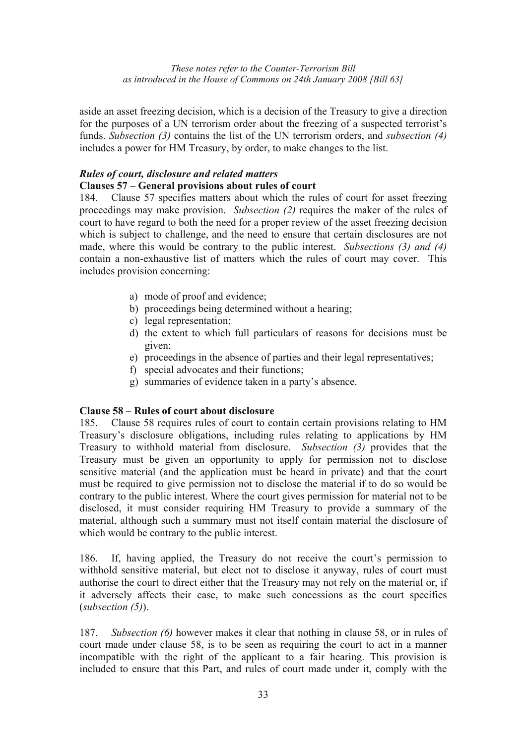aside an asset freezing decision, which is a decision of the Treasury to give a direction for the purposes of a UN terrorism order about the freezing of a suspected terrorist's funds. *Subsection (3)* contains the list of the UN terrorism orders, and *subsection (4)*  includes a power for HM Treasury, by order, to make changes to the list.

## *Rules of court, disclosure and related matters*

## **Clauses 57 – General provisions about rules of court**

184. Clause 57 specifies matters about which the rules of court for asset freezing proceedings may make provision. *Subsection (2)* requires the maker of the rules of court to have regard to both the need for a proper review of the asset freezing decision which is subject to challenge, and the need to ensure that certain disclosures are not made, where this would be contrary to the public interest. *Subsections (3) and (4)* contain a non-exhaustive list of matters which the rules of court may cover. This includes provision concerning:

- a) mode of proof and evidence;
- b) proceedings being determined without a hearing;
- c) legal representation;
- d) the extent to which full particulars of reasons for decisions must be given;
- e) proceedings in the absence of parties and their legal representatives;
- f) special advocates and their functions;
- g) summaries of evidence taken in a party's absence.

#### **Clause 58 – Rules of court about disclosure**

185. Clause 58 requires rules of court to contain certain provisions relating to HM Treasury's disclosure obligations, including rules relating to applications by HM Treasury to withhold material from disclosure. *Subsection (3)* provides that the Treasury must be given an opportunity to apply for permission not to disclose sensitive material (and the application must be heard in private) and that the court must be required to give permission not to disclose the material if to do so would be contrary to the public interest. Where the court gives permission for material not to be disclosed, it must consider requiring HM Treasury to provide a summary of the material, although such a summary must not itself contain material the disclosure of which would be contrary to the public interest.

186. If, having applied, the Treasury do not receive the court's permission to withhold sensitive material, but elect not to disclose it anyway, rules of court must authorise the court to direct either that the Treasury may not rely on the material or, if it adversely affects their case, to make such concessions as the court specifies (*subsection (5)*).

187. *Subsection (6)* however makes it clear that nothing in clause 58, or in rules of court made under clause 58, is to be seen as requiring the court to act in a manner incompatible with the right of the applicant to a fair hearing. This provision is included to ensure that this Part, and rules of court made under it, comply with the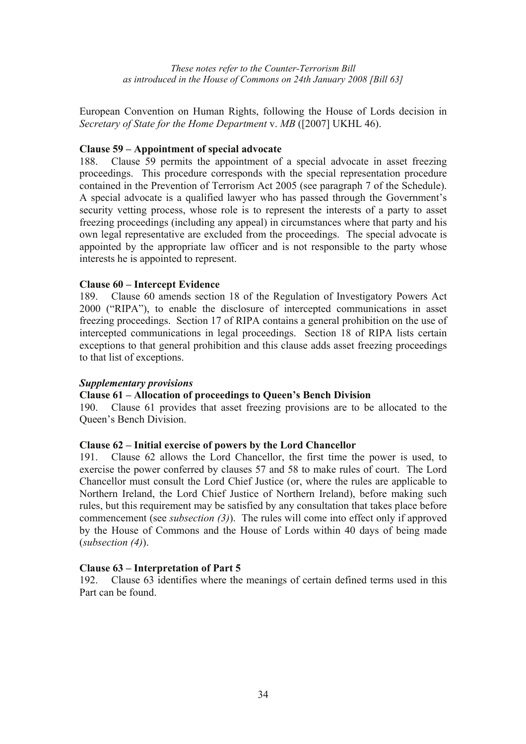European Convention on Human Rights, following the House of Lords decision in *Secretary of State for the Home Department* v. *MB* ([2007] UKHL 46).

#### **Clause 59 – Appointment of special advocate**

188. Clause 59 permits the appointment of a special advocate in asset freezing proceedings. This procedure corresponds with the special representation procedure contained in the Prevention of Terrorism Act 2005 (see paragraph 7 of the Schedule). A special advocate is a qualified lawyer who has passed through the Government's security vetting process, whose role is to represent the interests of a party to asset freezing proceedings (including any appeal) in circumstances where that party and his own legal representative are excluded from the proceedings. The special advocate is appointed by the appropriate law officer and is not responsible to the party whose interests he is appointed to represent.

### **Clause 60 – Intercept Evidence**

189. Clause 60 amends section 18 of the Regulation of Investigatory Powers Act 2000 ("RIPA"), to enable the disclosure of intercepted communications in asset freezing proceedings. Section 17 of RIPA contains a general prohibition on the use of intercepted communications in legal proceedings. Section 18 of RIPA lists certain exceptions to that general prohibition and this clause adds asset freezing proceedings to that list of exceptions.

#### *Supplementary provisions*

## **Clause 61 – Allocation of proceedings to Queen's Bench Division**

190. Clause 61 provides that asset freezing provisions are to be allocated to the Queen's Bench Division.

#### **Clause 62 – Initial exercise of powers by the Lord Chancellor**

191. Clause 62 allows the Lord Chancellor, the first time the power is used, to exercise the power conferred by clauses 57 and 58 to make rules of court. The Lord Chancellor must consult the Lord Chief Justice (or, where the rules are applicable to Northern Ireland, the Lord Chief Justice of Northern Ireland), before making such rules, but this requirement may be satisfied by any consultation that takes place before commencement (see *subsection (3)*). The rules will come into effect only if approved by the House of Commons and the House of Lords within 40 days of being made (*subsection (4)*).

#### **Clause 63 – Interpretation of Part 5**

192. Clause 63 identifies where the meanings of certain defined terms used in this Part can be found.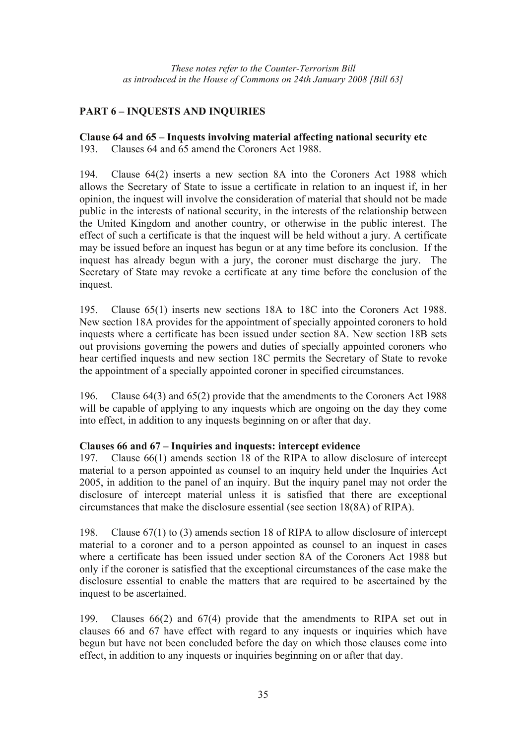## **PART 6 – INQUESTS AND INQUIRIES**

# **Clause 64 and 65 – Inquests involving material affecting national security etc**

193. Clauses 64 and 65 amend the Coroners Act 1988.

194. Clause 64(2) inserts a new section 8A into the Coroners Act 1988 which allows the Secretary of State to issue a certificate in relation to an inquest if, in her opinion, the inquest will involve the consideration of material that should not be made public in the interests of national security, in the interests of the relationship between the United Kingdom and another country, or otherwise in the public interest. The effect of such a certificate is that the inquest will be held without a jury. A certificate may be issued before an inquest has begun or at any time before its conclusion. If the inquest has already begun with a jury, the coroner must discharge the jury. The Secretary of State may revoke a certificate at any time before the conclusion of the inquest.

195. Clause 65(1) inserts new sections 18A to 18C into the Coroners Act 1988. New section 18A provides for the appointment of specially appointed coroners to hold inquests where a certificate has been issued under section 8A. New section 18B sets out provisions governing the powers and duties of specially appointed coroners who hear certified inquests and new section 18C permits the Secretary of State to revoke the appointment of a specially appointed coroner in specified circumstances.

196. Clause 64(3) and 65(2) provide that the amendments to the Coroners Act 1988 will be capable of applying to any inquests which are ongoing on the day they come into effect, in addition to any inquests beginning on or after that day.

## **Clauses 66 and 67 – Inquiries and inquests: intercept evidence**

197. Clause 66(1) amends section 18 of the RIPA to allow disclosure of intercept material to a person appointed as counsel to an inquiry held under the Inquiries Act 2005, in addition to the panel of an inquiry. But the inquiry panel may not order the disclosure of intercept material unless it is satisfied that there are exceptional circumstances that make the disclosure essential (see section 18(8A) of RIPA).

198. Clause 67(1) to (3) amends section 18 of RIPA to allow disclosure of intercept material to a coroner and to a person appointed as counsel to an inquest in cases where a certificate has been issued under section 8A of the Coroners Act 1988 but only if the coroner is satisfied that the exceptional circumstances of the case make the disclosure essential to enable the matters that are required to be ascertained by the inquest to be ascertained.

199. Clauses 66(2) and 67(4) provide that the amendments to RIPA set out in clauses 66 and 67 have effect with regard to any inquests or inquiries which have begun but have not been concluded before the day on which those clauses come into effect, in addition to any inquests or inquiries beginning on or after that day.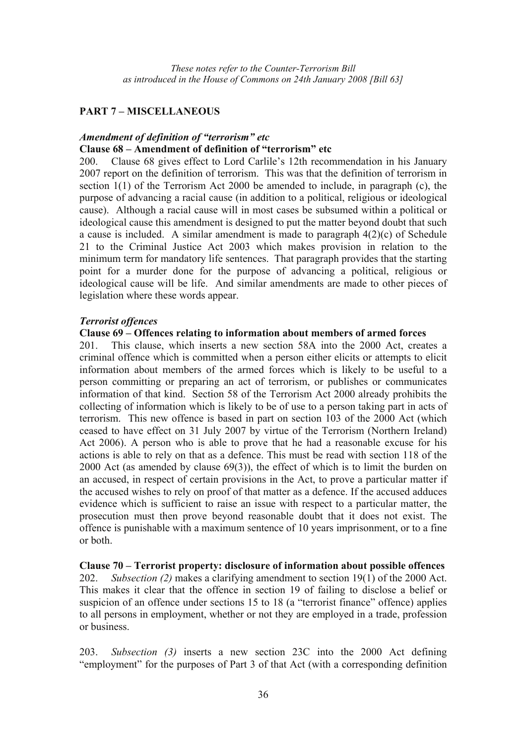## **PART 7 – MISCELLANEOUS**

### *Amendment of definition of "terrorism" etc*  **Clause 68 – Amendment of definition of "terrorism" etc**

200. Clause 68 gives effect to Lord Carlile's 12th recommendation in his January 2007 report on the definition of terrorism. This was that the definition of terrorism in section 1(1) of the Terrorism Act 2000 be amended to include, in paragraph (c), the purpose of advancing a racial cause (in addition to a political, religious or ideological cause). Although a racial cause will in most cases be subsumed within a political or ideological cause this amendment is designed to put the matter beyond doubt that such a cause is included. A similar amendment is made to paragraph 4(2)(c) of Schedule 21 to the Criminal Justice Act 2003 which makes provision in relation to the minimum term for mandatory life sentences. That paragraph provides that the starting point for a murder done for the purpose of advancing a political, religious or ideological cause will be life. And similar amendments are made to other pieces of legislation where these words appear.

#### *Terrorist offences*

### **Clause 69 – Offences relating to information about members of armed forces**

201. This clause, which inserts a new section 58A into the 2000 Act, creates a criminal offence which is committed when a person either elicits or attempts to elicit information about members of the armed forces which is likely to be useful to a person committing or preparing an act of terrorism, or publishes or communicates information of that kind. Section 58 of the Terrorism Act 2000 already prohibits the collecting of information which is likely to be of use to a person taking part in acts of terrorism. This new offence is based in part on section 103 of the 2000 Act (which ceased to have effect on 31 July 2007 by virtue of the Terrorism (Northern Ireland) Act 2006). A person who is able to prove that he had a reasonable excuse for his actions is able to rely on that as a defence. This must be read with section 118 of the 2000 Act (as amended by clause 69(3)), the effect of which is to limit the burden on an accused, in respect of certain provisions in the Act, to prove a particular matter if the accused wishes to rely on proof of that matter as a defence. If the accused adduces evidence which is sufficient to raise an issue with respect to a particular matter, the prosecution must then prove beyond reasonable doubt that it does not exist. The offence is punishable with a maximum sentence of 10 years imprisonment, or to a fine or both.

#### **Clause 70 – Terrorist property: disclosure of information about possible offences**

202. *Subsection (2)* makes a clarifying amendment to section 19(1) of the 2000 Act. This makes it clear that the offence in section 19 of failing to disclose a belief or suspicion of an offence under sections 15 to 18 (a "terrorist finance" offence) applies to all persons in employment, whether or not they are employed in a trade, profession or business.

203. *Subsection (3)* inserts a new section 23C into the 2000 Act defining "employment" for the purposes of Part 3 of that Act (with a corresponding definition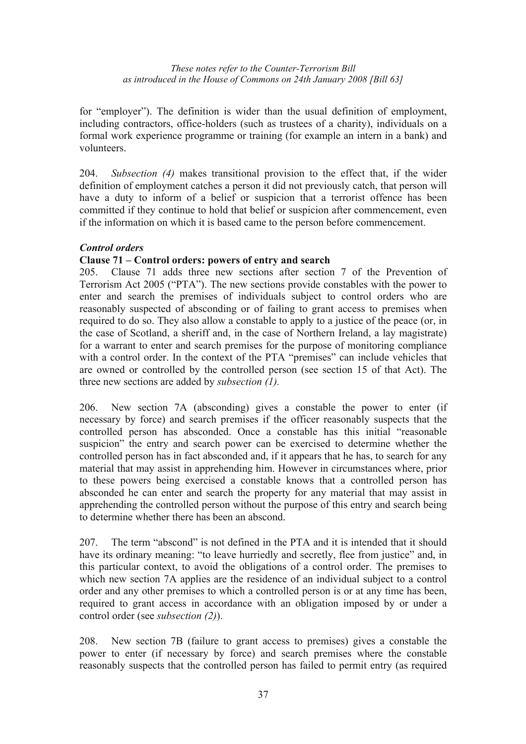for "employer"). The definition is wider than the usual definition of employment, including contractors, office-holders (such as trustees of a charity), individuals on a formal work experience programme or training (for example an intern in a bank) and volunteers.

204. *Subsection (4)* makes transitional provision to the effect that, if the wider definition of employment catches a person it did not previously catch, that person will have a duty to inform of a belief or suspicion that a terrorist offence has been committed if they continue to hold that belief or suspicion after commencement, even if the information on which it is based came to the person before commencement.

## *Control orders*

## **Clause 71 – Control orders: powers of entry and search**

205. Clause 71 adds three new sections after section 7 of the Prevention of Terrorism Act 2005 ("PTA"). The new sections provide constables with the power to enter and search the premises of individuals subject to control orders who are reasonably suspected of absconding or of failing to grant access to premises when required to do so. They also allow a constable to apply to a justice of the peace (or, in the case of Scotland, a sheriff and, in the case of Northern Ireland, a lay magistrate) for a warrant to enter and search premises for the purpose of monitoring compliance with a control order. In the context of the PTA "premises" can include vehicles that are owned or controlled by the controlled person (see section 15 of that Act). The three new sections are added by *subsection (1).*

206. New section 7A (absconding) gives a constable the power to enter (if necessary by force) and search premises if the officer reasonably suspects that the controlled person has absconded. Once a constable has this initial "reasonable suspicion" the entry and search power can be exercised to determine whether the controlled person has in fact absconded and, if it appears that he has, to search for any material that may assist in apprehending him. However in circumstances where, prior to these powers being exercised a constable knows that a controlled person has absconded he can enter and search the property for any material that may assist in apprehending the controlled person without the purpose of this entry and search being to determine whether there has been an abscond.

207. The term "abscond" is not defined in the PTA and it is intended that it should have its ordinary meaning: "to leave hurriedly and secretly, flee from justice" and, in this particular context, to avoid the obligations of a control order. The premises to which new section 7A applies are the residence of an individual subject to a control order and any other premises to which a controlled person is or at any time has been, required to grant access in accordance with an obligation imposed by or under a control order (see *subsection (2)*).

208. New section 7B (failure to grant access to premises) gives a constable the power to enter (if necessary by force) and search premises where the constable reasonably suspects that the controlled person has failed to permit entry (as required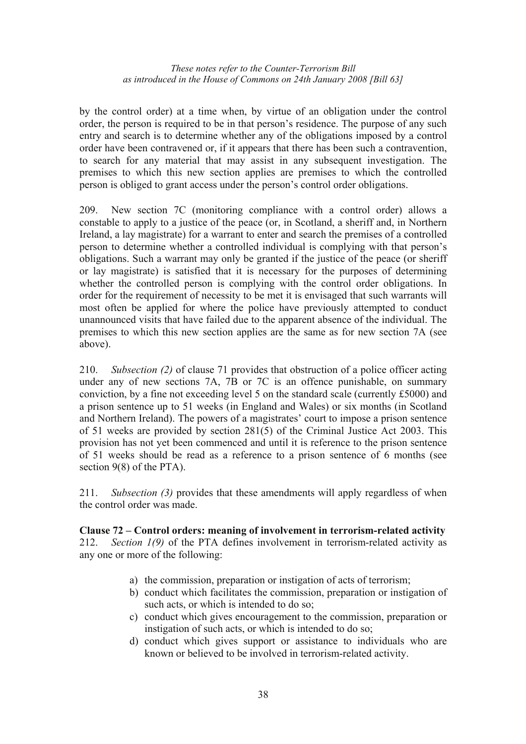by the control order) at a time when, by virtue of an obligation under the control order, the person is required to be in that person's residence. The purpose of any such entry and search is to determine whether any of the obligations imposed by a control order have been contravened or, if it appears that there has been such a contravention, to search for any material that may assist in any subsequent investigation. The premises to which this new section applies are premises to which the controlled person is obliged to grant access under the person's control order obligations.

209. New section 7C (monitoring compliance with a control order) allows a constable to apply to a justice of the peace (or, in Scotland, a sheriff and, in Northern Ireland, a lay magistrate) for a warrant to enter and search the premises of a controlled person to determine whether a controlled individual is complying with that person's obligations. Such a warrant may only be granted if the justice of the peace (or sheriff or lay magistrate) is satisfied that it is necessary for the purposes of determining whether the controlled person is complying with the control order obligations. In order for the requirement of necessity to be met it is envisaged that such warrants will most often be applied for where the police have previously attempted to conduct unannounced visits that have failed due to the apparent absence of the individual. The premises to which this new section applies are the same as for new section 7A (see above).

210. *Subsection (2)* of clause 71 provides that obstruction of a police officer acting under any of new sections 7A, 7B or 7C is an offence punishable, on summary conviction, by a fine not exceeding level 5 on the standard scale (currently £5000) and a prison sentence up to 51 weeks (in England and Wales) or six months (in Scotland and Northern Ireland). The powers of a magistrates' court to impose a prison sentence of 51 weeks are provided by section 281(5) of the Criminal Justice Act 2003. This provision has not yet been commenced and until it is reference to the prison sentence of 51 weeks should be read as a reference to a prison sentence of 6 months (see section 9(8) of the PTA).

211. *Subsection (3)* provides that these amendments will apply regardless of when the control order was made.

#### **Clause 72 – Control orders: meaning of involvement in terrorism-related activity**  212. *Section 1(9)* of the PTA defines involvement in terrorism-related activity as any one or more of the following:

- a) the commission, preparation or instigation of acts of terrorism;
- b) conduct which facilitates the commission, preparation or instigation of such acts, or which is intended to do so;
- c) conduct which gives encouragement to the commission, preparation or instigation of such acts, or which is intended to do so;
- d) conduct which gives support or assistance to individuals who are known or believed to be involved in terrorism-related activity.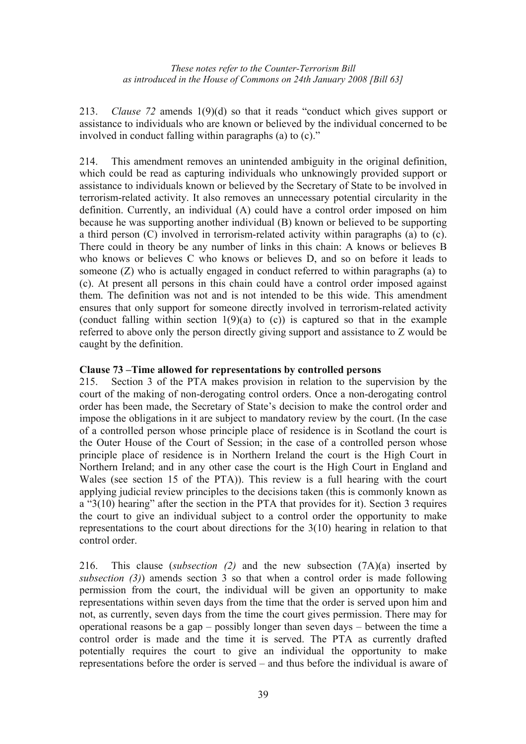213. *Clause 72* amends 1(9)(d) so that it reads "conduct which gives support or assistance to individuals who are known or believed by the individual concerned to be involved in conduct falling within paragraphs (a) to (c)."

214. This amendment removes an unintended ambiguity in the original definition, which could be read as capturing individuals who unknowingly provided support or assistance to individuals known or believed by the Secretary of State to be involved in terrorism-related activity. It also removes an unnecessary potential circularity in the definition. Currently, an individual (A) could have a control order imposed on him because he was supporting another individual (B) known or believed to be supporting a third person (C) involved in terrorism-related activity within paragraphs (a) to (c). There could in theory be any number of links in this chain: A knows or believes B who knows or believes C who knows or believes D, and so on before it leads to someone (Z) who is actually engaged in conduct referred to within paragraphs (a) to (c). At present all persons in this chain could have a control order imposed against them. The definition was not and is not intended to be this wide. This amendment ensures that only support for someone directly involved in terrorism-related activity (conduct falling within section  $1(9)(a)$  to (c)) is captured so that in the example referred to above only the person directly giving support and assistance to Z would be caught by the definition.

## **Clause 73 –Time allowed for representations by controlled persons**

215. Section 3 of the PTA makes provision in relation to the supervision by the court of the making of non-derogating control orders. Once a non-derogating control order has been made, the Secretary of State's decision to make the control order and impose the obligations in it are subject to mandatory review by the court. (In the case of a controlled person whose principle place of residence is in Scotland the court is the Outer House of the Court of Session; in the case of a controlled person whose principle place of residence is in Northern Ireland the court is the High Court in Northern Ireland; and in any other case the court is the High Court in England and Wales (see section 15 of the PTA)). This review is a full hearing with the court applying judicial review principles to the decisions taken (this is commonly known as a "3(10) hearing" after the section in the PTA that provides for it). Section 3 requires the court to give an individual subject to a control order the opportunity to make representations to the court about directions for the 3(10) hearing in relation to that control order.

216. This clause (*subsection (2)* and the new subsection (7A)(a) inserted by *subsection (3)*) amends section 3 so that when a control order is made following permission from the court, the individual will be given an opportunity to make representations within seven days from the time that the order is served upon him and not, as currently, seven days from the time the court gives permission. There may for operational reasons be a gap – possibly longer than seven days – between the time a control order is made and the time it is served. The PTA as currently drafted potentially requires the court to give an individual the opportunity to make representations before the order is served – and thus before the individual is aware of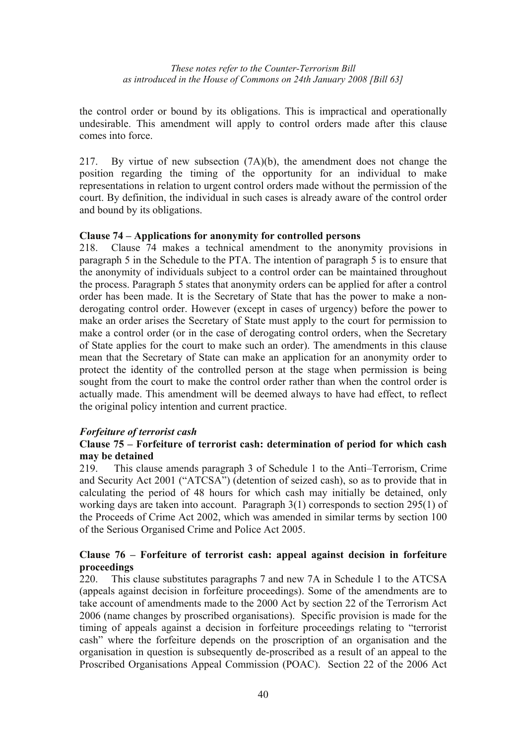the control order or bound by its obligations. This is impractical and operationally undesirable. This amendment will apply to control orders made after this clause comes into force.

217. By virtue of new subsection (7A)(b), the amendment does not change the position regarding the timing of the opportunity for an individual to make representations in relation to urgent control orders made without the permission of the court. By definition, the individual in such cases is already aware of the control order and bound by its obligations.

### **Clause 74 – Applications for anonymity for controlled persons**

218. Clause 74 makes a technical amendment to the anonymity provisions in paragraph 5 in the Schedule to the PTA. The intention of paragraph 5 is to ensure that the anonymity of individuals subject to a control order can be maintained throughout the process. Paragraph 5 states that anonymity orders can be applied for after a control order has been made. It is the Secretary of State that has the power to make a nonderogating control order. However (except in cases of urgency) before the power to make an order arises the Secretary of State must apply to the court for permission to make a control order (or in the case of derogating control orders, when the Secretary of State applies for the court to make such an order). The amendments in this clause mean that the Secretary of State can make an application for an anonymity order to protect the identity of the controlled person at the stage when permission is being sought from the court to make the control order rather than when the control order is actually made. This amendment will be deemed always to have had effect, to reflect the original policy intention and current practice.

## *Forfeiture of terrorist cash*

### **Clause 75 – Forfeiture of terrorist cash: determination of period for which cash may be detained**

219. This clause amends paragraph 3 of Schedule 1 to the Anti–Terrorism, Crime and Security Act 2001 ("ATCSA") (detention of seized cash), so as to provide that in calculating the period of 48 hours for which cash may initially be detained, only working days are taken into account. Paragraph 3(1) corresponds to section 295(1) of the Proceeds of Crime Act 2002, which was amended in similar terms by section 100 of the Serious Organised Crime and Police Act 2005.

### **Clause 76 – Forfeiture of terrorist cash: appeal against decision in forfeiture proceedings**

220. This clause substitutes paragraphs 7 and new 7A in Schedule 1 to the ATCSA (appeals against decision in forfeiture proceedings). Some of the amendments are to take account of amendments made to the 2000 Act by section 22 of the Terrorism Act 2006 (name changes by proscribed organisations). Specific provision is made for the timing of appeals against a decision in forfeiture proceedings relating to "terrorist cash" where the forfeiture depends on the proscription of an organisation and the organisation in question is subsequently de-proscribed as a result of an appeal to the Proscribed Organisations Appeal Commission (POAC). Section 22 of the 2006 Act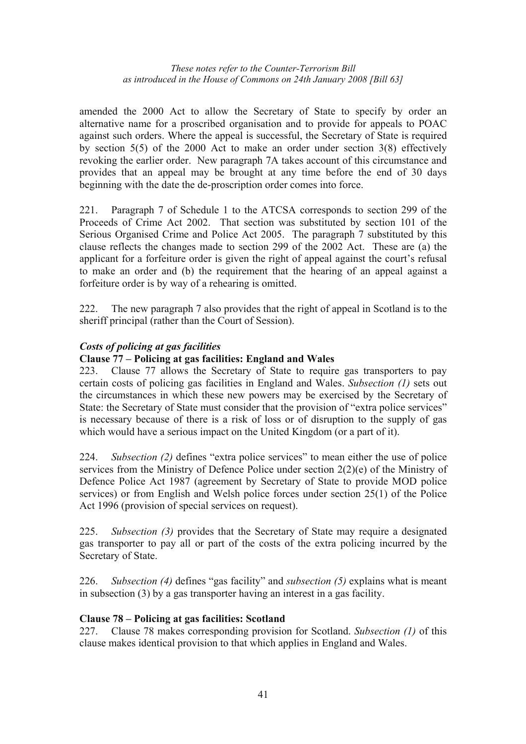amended the 2000 Act to allow the Secretary of State to specify by order an alternative name for a proscribed organisation and to provide for appeals to POAC against such orders. Where the appeal is successful, the Secretary of State is required by section 5(5) of the 2000 Act to make an order under section 3(8) effectively revoking the earlier order. New paragraph 7A takes account of this circumstance and provides that an appeal may be brought at any time before the end of 30 days beginning with the date the de-proscription order comes into force.

221. Paragraph 7 of Schedule 1 to the ATCSA corresponds to section 299 of the Proceeds of Crime Act 2002. That section was substituted by section 101 of the Serious Organised Crime and Police Act 2005. The paragraph 7 substituted by this clause reflects the changes made to section 299 of the 2002 Act. These are (a) the applicant for a forfeiture order is given the right of appeal against the court's refusal to make an order and (b) the requirement that the hearing of an appeal against a forfeiture order is by way of a rehearing is omitted.

222. The new paragraph 7 also provides that the right of appeal in Scotland is to the sheriff principal (rather than the Court of Session).

## *Costs of policing at gas facilities*

### **Clause 77 – Policing at gas facilities: England and Wales**

223. Clause 77 allows the Secretary of State to require gas transporters to pay certain costs of policing gas facilities in England and Wales. *Subsection (1)* sets out the circumstances in which these new powers may be exercised by the Secretary of State: the Secretary of State must consider that the provision of "extra police services" is necessary because of there is a risk of loss or of disruption to the supply of gas which would have a serious impact on the United Kingdom (or a part of it).

224. *Subsection (2)* defines "extra police services" to mean either the use of police services from the Ministry of Defence Police under section 2(2)(e) of the Ministry of Defence Police Act 1987 (agreement by Secretary of State to provide MOD police services) or from English and Welsh police forces under section 25(1) of the Police Act 1996 (provision of special services on request).

225. *Subsection (3)* provides that the Secretary of State may require a designated gas transporter to pay all or part of the costs of the extra policing incurred by the Secretary of State.

226. *Subsection (4)* defines "gas facility" and *subsection (5)* explains what is meant in subsection (3) by a gas transporter having an interest in a gas facility.

#### **Clause 78 – Policing at gas facilities: Scotland**

227. Clause 78 makes corresponding provision for Scotland. *Subsection (1)* of this clause makes identical provision to that which applies in England and Wales.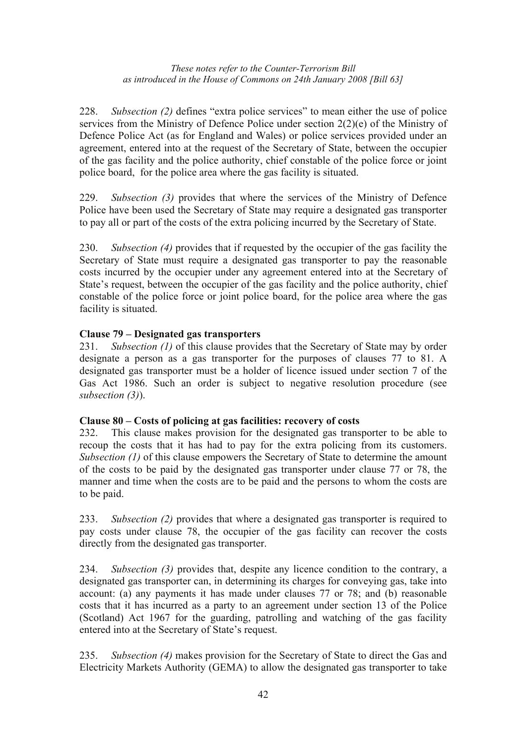228. *Subsection (2)* defines "extra police services" to mean either the use of police services from the Ministry of Defence Police under section 2(2)(e) of the Ministry of Defence Police Act (as for England and Wales) or police services provided under an agreement, entered into at the request of the Secretary of State, between the occupier of the gas facility and the police authority, chief constable of the police force or joint police board, for the police area where the gas facility is situated.

229. *Subsection (3)* provides that where the services of the Ministry of Defence Police have been used the Secretary of State may require a designated gas transporter to pay all or part of the costs of the extra policing incurred by the Secretary of State.

230. *Subsection (4)* provides that if requested by the occupier of the gas facility the Secretary of State must require a designated gas transporter to pay the reasonable costs incurred by the occupier under any agreement entered into at the Secretary of State's request, between the occupier of the gas facility and the police authority, chief constable of the police force or joint police board, for the police area where the gas facility is situated.

## **Clause 79 – Designated gas transporters**

231. *Subsection (1)* of this clause provides that the Secretary of State may by order designate a person as a gas transporter for the purposes of clauses 77 to 81. A designated gas transporter must be a holder of licence issued under section 7 of the Gas Act 1986. Such an order is subject to negative resolution procedure (see *subsection (3)*).

## **Clause 80 – Costs of policing at gas facilities: recovery of costs**

232. This clause makes provision for the designated gas transporter to be able to recoup the costs that it has had to pay for the extra policing from its customers. *Subsection (1)* of this clause empowers the Secretary of State to determine the amount of the costs to be paid by the designated gas transporter under clause 77 or 78, the manner and time when the costs are to be paid and the persons to whom the costs are to be paid.

233. *Subsection (2)* provides that where a designated gas transporter is required to pay costs under clause 78, the occupier of the gas facility can recover the costs directly from the designated gas transporter.

234. *Subsection (3)* provides that, despite any licence condition to the contrary, a designated gas transporter can, in determining its charges for conveying gas, take into account: (a) any payments it has made under clauses 77 or 78; and (b) reasonable costs that it has incurred as a party to an agreement under section 13 of the Police (Scotland) Act 1967 for the guarding, patrolling and watching of the gas facility entered into at the Secretary of State's request.

235. *Subsection (4)* makes provision for the Secretary of State to direct the Gas and Electricity Markets Authority (GEMA) to allow the designated gas transporter to take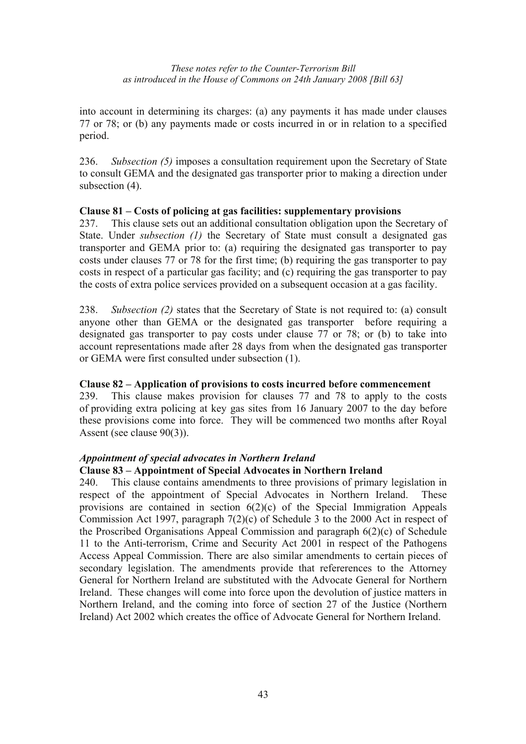into account in determining its charges: (a) any payments it has made under clauses 77 or 78; or (b) any payments made or costs incurred in or in relation to a specified period.

236. *Subsection (5)* imposes a consultation requirement upon the Secretary of State to consult GEMA and the designated gas transporter prior to making a direction under subsection (4).

#### **Clause 81 – Costs of policing at gas facilities: supplementary provisions**

237. This clause sets out an additional consultation obligation upon the Secretary of State. Under *subsection (1)* the Secretary of State must consult a designated gas transporter and GEMA prior to: (a) requiring the designated gas transporter to pay costs under clauses 77 or 78 for the first time; (b) requiring the gas transporter to pay costs in respect of a particular gas facility; and (c) requiring the gas transporter to pay the costs of extra police services provided on a subsequent occasion at a gas facility.

238. *Subsection (2)* states that the Secretary of State is not required to: (a) consult anyone other than GEMA or the designated gas transporter before requiring a designated gas transporter to pay costs under clause 77 or 78; or (b) to take into account representations made after 28 days from when the designated gas transporter or GEMA were first consulted under subsection (1).

## **Clause 82 – Application of provisions to costs incurred before commencement**

239. This clause makes provision for clauses 77 and 78 to apply to the costs of providing extra policing at key gas sites from 16 January 2007 to the day before these provisions come into force. They will be commenced two months after Royal Assent (see clause 90(3)).

## *Appointment of special advocates in Northern Ireland*

#### **Clause 83 – Appointment of Special Advocates in Northern Ireland**

240. This clause contains amendments to three provisions of primary legislation in respect of the appointment of Special Advocates in Northern Ireland. These provisions are contained in section 6(2)(c) of the Special Immigration Appeals Commission Act 1997, paragraph 7(2)(c) of Schedule 3 to the 2000 Act in respect of the Proscribed Organisations Appeal Commission and paragraph 6(2)(c) of Schedule 11 to the Anti-terrorism, Crime and Security Act 2001 in respect of the Pathogens Access Appeal Commission. There are also similar amendments to certain pieces of secondary legislation. The amendments provide that refererences to the Attorney General for Northern Ireland are substituted with the Advocate General for Northern Ireland. These changes will come into force upon the devolution of justice matters in Northern Ireland, and the coming into force of section 27 of the Justice (Northern Ireland) Act 2002 which creates the office of Advocate General for Northern Ireland.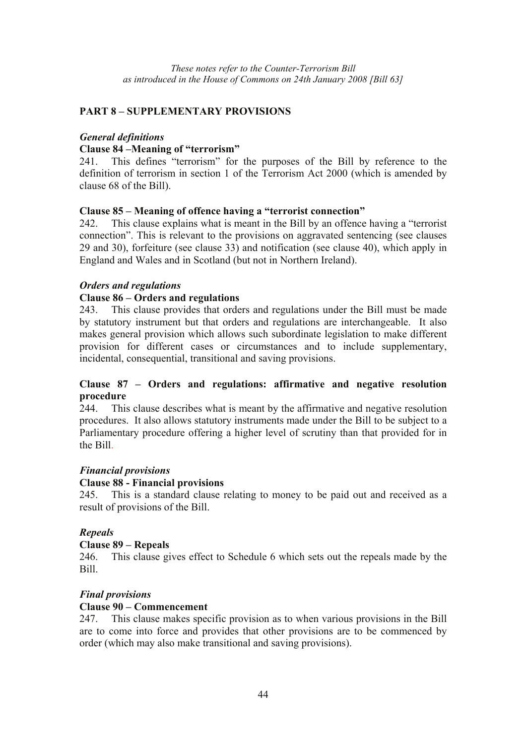### **PART 8 – SUPPLEMENTARY PROVISIONS**

#### *General definitions*

#### **Clause 84 –Meaning of "terrorism"**

241. This defines "terrorism" for the purposes of the Bill by reference to the definition of terrorism in section 1 of the Terrorism Act 2000 (which is amended by clause 68 of the Bill).

### **Clause 85 – Meaning of offence having a "terrorist connection"**

242. This clause explains what is meant in the Bill by an offence having a "terrorist connection". This is relevant to the provisions on aggravated sentencing (see clauses 29 and 30), forfeiture (see clause 33) and notification (see clause 40), which apply in England and Wales and in Scotland (but not in Northern Ireland).

### *Orders and regulations*

### **Clause 86 – Orders and regulations**

243. This clause provides that orders and regulations under the Bill must be made by statutory instrument but that orders and regulations are interchangeable. It also makes general provision which allows such subordinate legislation to make different provision for different cases or circumstances and to include supplementary, incidental, consequential, transitional and saving provisions.

#### **Clause 87 – Orders and regulations: affirmative and negative resolution procedure**

244. This clause describes what is meant by the affirmative and negative resolution procedures. It also allows statutory instruments made under the Bill to be subject to a Parliamentary procedure offering a higher level of scrutiny than that provided for in the Bill.

#### *Financial provisions*

#### **Clause 88 - Financial provisions**

245. This is a standard clause relating to money to be paid out and received as a result of provisions of the Bill.

#### *Repeals*

#### **Clause 89 – Repeals**

246. This clause gives effect to Schedule 6 which sets out the repeals made by the Bill.

## *Final provisions*

#### **Clause 90 – Commencement**

247. This clause makes specific provision as to when various provisions in the Bill are to come into force and provides that other provisions are to be commenced by order (which may also make transitional and saving provisions).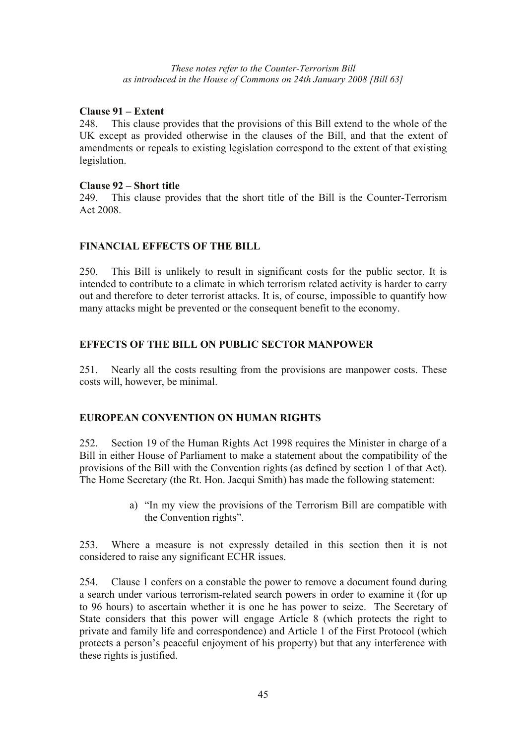### **Clause 91 – Extent**

248. This clause provides that the provisions of this Bill extend to the whole of the UK except as provided otherwise in the clauses of the Bill, and that the extent of amendments or repeals to existing legislation correspond to the extent of that existing legislation.

#### **Clause 92 – Short title**

249. This clause provides that the short title of the Bill is the Counter-Terrorism Act 2008.

## **FINANCIAL EFFECTS OF THE BILL**

250. This Bill is unlikely to result in significant costs for the public sector. It is intended to contribute to a climate in which terrorism related activity is harder to carry out and therefore to deter terrorist attacks. It is, of course, impossible to quantify how many attacks might be prevented or the consequent benefit to the economy.

## **EFFECTS OF THE BILL ON PUBLIC SECTOR MANPOWER**

251. Nearly all the costs resulting from the provisions are manpower costs. These costs will, however, be minimal.

## **EUROPEAN CONVENTION ON HUMAN RIGHTS**

252. Section 19 of the Human Rights Act 1998 requires the Minister in charge of a Bill in either House of Parliament to make a statement about the compatibility of the provisions of the Bill with the Convention rights (as defined by section 1 of that Act). The Home Secretary (the Rt. Hon. Jacqui Smith) has made the following statement:

> a) "In my view the provisions of the Terrorism Bill are compatible with the Convention rights".

253. Where a measure is not expressly detailed in this section then it is not considered to raise any significant ECHR issues.

254. Clause 1 confers on a constable the power to remove a document found during a search under various terrorism-related search powers in order to examine it (for up to 96 hours) to ascertain whether it is one he has power to seize. The Secretary of State considers that this power will engage Article 8 (which protects the right to private and family life and correspondence) and Article 1 of the First Protocol (which protects a person's peaceful enjoyment of his property) but that any interference with these rights is justified.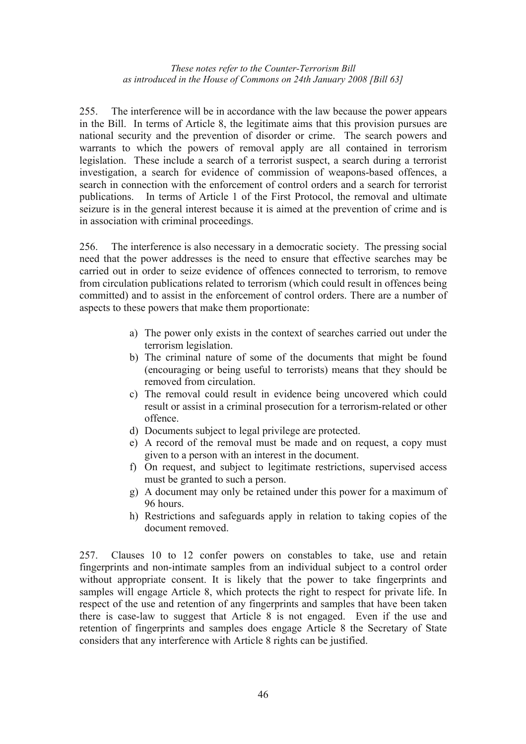255. The interference will be in accordance with the law because the power appears in the Bill. In terms of Article 8, the legitimate aims that this provision pursues are national security and the prevention of disorder or crime. The search powers and warrants to which the powers of removal apply are all contained in terrorism legislation. These include a search of a terrorist suspect, a search during a terrorist investigation, a search for evidence of commission of weapons-based offences, a search in connection with the enforcement of control orders and a search for terrorist publications. In terms of Article 1 of the First Protocol, the removal and ultimate seizure is in the general interest because it is aimed at the prevention of crime and is in association with criminal proceedings.

256. The interference is also necessary in a democratic society. The pressing social need that the power addresses is the need to ensure that effective searches may be carried out in order to seize evidence of offences connected to terrorism, to remove from circulation publications related to terrorism (which could result in offences being committed) and to assist in the enforcement of control orders. There are a number of aspects to these powers that make them proportionate:

- a) The power only exists in the context of searches carried out under the terrorism legislation.
- b) The criminal nature of some of the documents that might be found (encouraging or being useful to terrorists) means that they should be removed from circulation.
- c) The removal could result in evidence being uncovered which could result or assist in a criminal prosecution for a terrorism-related or other offence.
- d) Documents subject to legal privilege are protected.
- e) A record of the removal must be made and on request, a copy must given to a person with an interest in the document.
- f) On request, and subject to legitimate restrictions, supervised access must be granted to such a person.
- g) A document may only be retained under this power for a maximum of 96 hours.
- h) Restrictions and safeguards apply in relation to taking copies of the document removed.

257. Clauses 10 to 12 confer powers on constables to take, use and retain fingerprints and non-intimate samples from an individual subject to a control order without appropriate consent. It is likely that the power to take fingerprints and samples will engage Article 8, which protects the right to respect for private life. In respect of the use and retention of any fingerprints and samples that have been taken there is case-law to suggest that Article 8 is not engaged. Even if the use and retention of fingerprints and samples does engage Article 8 the Secretary of State considers that any interference with Article 8 rights can be justified.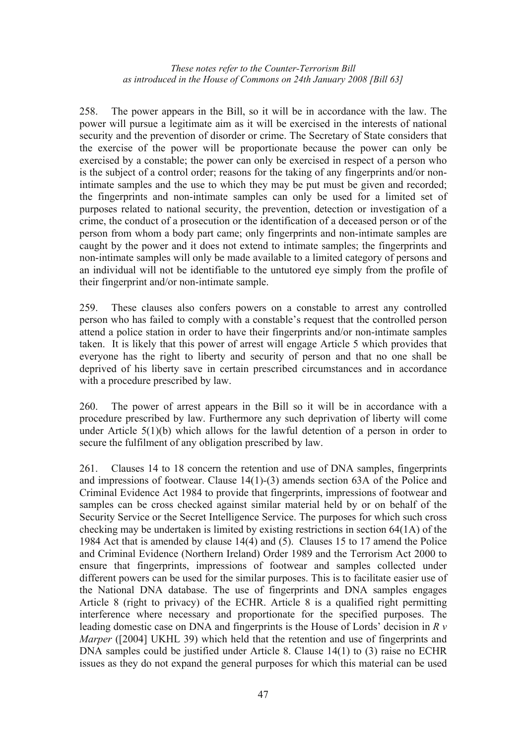258. The power appears in the Bill, so it will be in accordance with the law. The power will pursue a legitimate aim as it will be exercised in the interests of national security and the prevention of disorder or crime. The Secretary of State considers that the exercise of the power will be proportionate because the power can only be exercised by a constable; the power can only be exercised in respect of a person who is the subject of a control order; reasons for the taking of any fingerprints and/or nonintimate samples and the use to which they may be put must be given and recorded; the fingerprints and non-intimate samples can only be used for a limited set of purposes related to national security, the prevention, detection or investigation of a crime, the conduct of a prosecution or the identification of a deceased person or of the person from whom a body part came; only fingerprints and non-intimate samples are caught by the power and it does not extend to intimate samples; the fingerprints and non-intimate samples will only be made available to a limited category of persons and an individual will not be identifiable to the untutored eye simply from the profile of their fingerprint and/or non-intimate sample.

259. These clauses also confers powers on a constable to arrest any controlled person who has failed to comply with a constable's request that the controlled person attend a police station in order to have their fingerprints and/or non-intimate samples taken. It is likely that this power of arrest will engage Article 5 which provides that everyone has the right to liberty and security of person and that no one shall be deprived of his liberty save in certain prescribed circumstances and in accordance with a procedure prescribed by law.

260. The power of arrest appears in the Bill so it will be in accordance with a procedure prescribed by law. Furthermore any such deprivation of liberty will come under Article 5(1)(b) which allows for the lawful detention of a person in order to secure the fulfilment of any obligation prescribed by law.

261. Clauses 14 to 18 concern the retention and use of DNA samples, fingerprints and impressions of footwear. Clause 14(1)-(3) amends section 63A of the Police and Criminal Evidence Act 1984 to provide that fingerprints, impressions of footwear and samples can be cross checked against similar material held by or on behalf of the Security Service or the Secret Intelligence Service. The purposes for which such cross checking may be undertaken is limited by existing restrictions in section 64(1A) of the 1984 Act that is amended by clause 14(4) and (5). Clauses 15 to 17 amend the Police and Criminal Evidence (Northern Ireland) Order 1989 and the Terrorism Act 2000 to ensure that fingerprints, impressions of footwear and samples collected under different powers can be used for the similar purposes. This is to facilitate easier use of the National DNA database. The use of fingerprints and DNA samples engages Article 8 (right to privacy) of the ECHR. Article 8 is a qualified right permitting interference where necessary and proportionate for the specified purposes. The leading domestic case on DNA and fingerprints is the House of Lords' decision in *R v Marper* ([2004] UKHL 39) which held that the retention and use of fingerprints and DNA samples could be justified under Article 8. Clause 14(1) to (3) raise no ECHR issues as they do not expand the general purposes for which this material can be used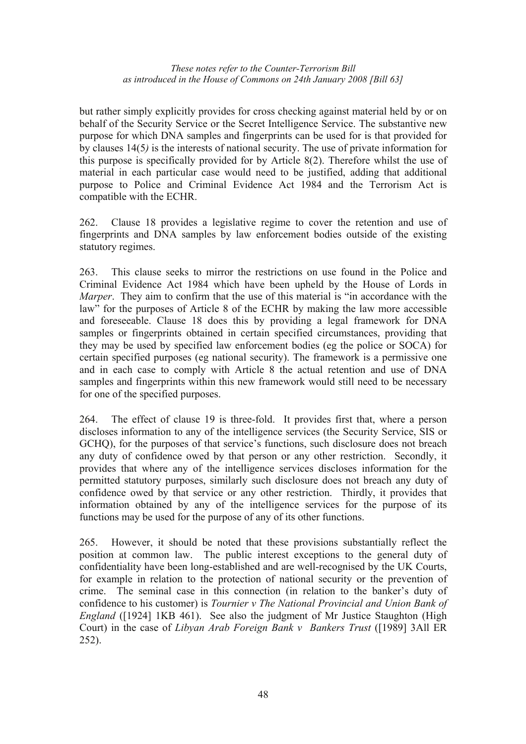but rather simply explicitly provides for cross checking against material held by or on behalf of the Security Service or the Secret Intelligence Service. The substantive new purpose for which DNA samples and fingerprints can be used for is that provided for by clauses 14(5*)* is the interests of national security. The use of private information for this purpose is specifically provided for by Article 8(2). Therefore whilst the use of material in each particular case would need to be justified, adding that additional purpose to Police and Criminal Evidence Act 1984 and the Terrorism Act is compatible with the ECHR.

262. Clause 18 provides a legislative regime to cover the retention and use of fingerprints and DNA samples by law enforcement bodies outside of the existing statutory regimes.

263. This clause seeks to mirror the restrictions on use found in the Police and Criminal Evidence Act 1984 which have been upheld by the House of Lords in *Marper*. They aim to confirm that the use of this material is "in accordance with the law" for the purposes of Article 8 of the ECHR by making the law more accessible and foreseeable. Clause 18 does this by providing a legal framework for DNA samples or fingerprints obtained in certain specified circumstances, providing that they may be used by specified law enforcement bodies (eg the police or SOCA) for certain specified purposes (eg national security). The framework is a permissive one and in each case to comply with Article 8 the actual retention and use of DNA samples and fingerprints within this new framework would still need to be necessary for one of the specified purposes.

264. The effect of clause 19 is three-fold. It provides first that, where a person discloses information to any of the intelligence services (the Security Service, SIS or GCHO), for the purposes of that service's functions, such disclosure does not breach any duty of confidence owed by that person or any other restriction. Secondly, it provides that where any of the intelligence services discloses information for the permitted statutory purposes, similarly such disclosure does not breach any duty of confidence owed by that service or any other restriction. Thirdly, it provides that information obtained by any of the intelligence services for the purpose of its functions may be used for the purpose of any of its other functions.

265. However, it should be noted that these provisions substantially reflect the position at common law. The public interest exceptions to the general duty of confidentiality have been long-established and are well-recognised by the UK Courts, for example in relation to the protection of national security or the prevention of crime. The seminal case in this connection (in relation to the banker's duty of confidence to his customer) is *Tournier v The National Provincial and Union Bank of England* ([1924] 1KB 461). See also the judgment of Mr Justice Staughton (High Court) in the case of *Libyan Arab Foreign Bank v Bankers Trust* ([1989] 3All ER 252).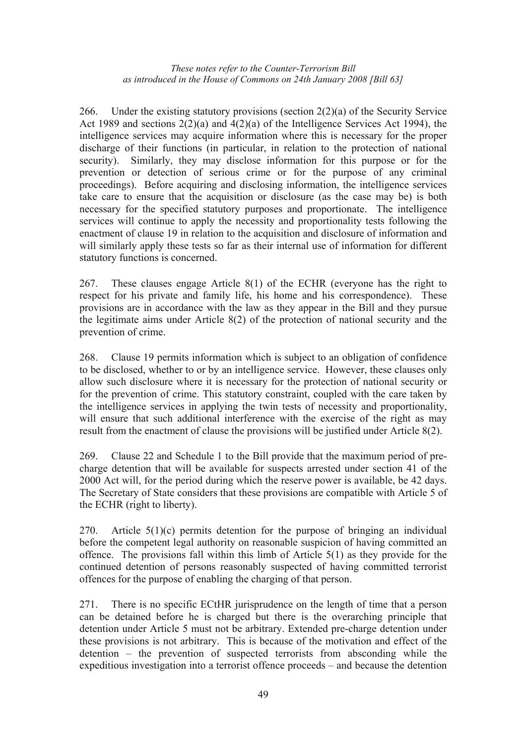266. Under the existing statutory provisions (section 2(2)(a) of the Security Service Act 1989 and sections  $2(2)(a)$  and  $4(2)(a)$  of the Intelligence Services Act 1994), the intelligence services may acquire information where this is necessary for the proper discharge of their functions (in particular, in relation to the protection of national security). Similarly, they may disclose information for this purpose or for the prevention or detection of serious crime or for the purpose of any criminal proceedings). Before acquiring and disclosing information, the intelligence services take care to ensure that the acquisition or disclosure (as the case may be) is both necessary for the specified statutory purposes and proportionate. The intelligence services will continue to apply the necessity and proportionality tests following the enactment of clause 19 in relation to the acquisition and disclosure of information and will similarly apply these tests so far as their internal use of information for different statutory functions is concerned.

267. These clauses engage Article 8(1) of the ECHR (everyone has the right to respect for his private and family life, his home and his correspondence). These provisions are in accordance with the law as they appear in the Bill and they pursue the legitimate aims under Article 8(2) of the protection of national security and the prevention of crime.

268. Clause 19 permits information which is subject to an obligation of confidence to be disclosed, whether to or by an intelligence service. However, these clauses only allow such disclosure where it is necessary for the protection of national security or for the prevention of crime. This statutory constraint, coupled with the care taken by the intelligence services in applying the twin tests of necessity and proportionality, will ensure that such additional interference with the exercise of the right as may result from the enactment of clause the provisions will be justified under Article 8(2).

269. Clause 22 and Schedule 1 to the Bill provide that the maximum period of precharge detention that will be available for suspects arrested under section 41 of the 2000 Act will, for the period during which the reserve power is available, be 42 days. The Secretary of State considers that these provisions are compatible with Article 5 of the ECHR (right to liberty).

270. Article 5(1)(c) permits detention for the purpose of bringing an individual before the competent legal authority on reasonable suspicion of having committed an offence. The provisions fall within this limb of Article 5(1) as they provide for the continued detention of persons reasonably suspected of having committed terrorist offences for the purpose of enabling the charging of that person.

271. There is no specific ECtHR jurisprudence on the length of time that a person can be detained before he is charged but there is the overarching principle that detention under Article 5 must not be arbitrary. Extended pre-charge detention under these provisions is not arbitrary. This is because of the motivation and effect of the detention – the prevention of suspected terrorists from absconding while the expeditious investigation into a terrorist offence proceeds – and because the detention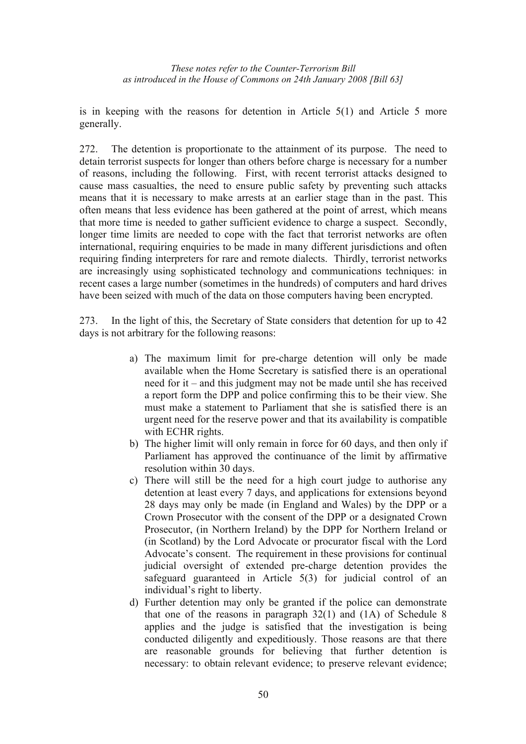is in keeping with the reasons for detention in Article  $5(1)$  and Article 5 more generally.

272. The detention is proportionate to the attainment of its purpose. The need to detain terrorist suspects for longer than others before charge is necessary for a number of reasons, including the following. First, with recent terrorist attacks designed to cause mass casualties, the need to ensure public safety by preventing such attacks means that it is necessary to make arrests at an earlier stage than in the past. This often means that less evidence has been gathered at the point of arrest, which means that more time is needed to gather sufficient evidence to charge a suspect. Secondly, longer time limits are needed to cope with the fact that terrorist networks are often international, requiring enquiries to be made in many different jurisdictions and often requiring finding interpreters for rare and remote dialects. Thirdly, terrorist networks are increasingly using sophisticated technology and communications techniques: in recent cases a large number (sometimes in the hundreds) of computers and hard drives have been seized with much of the data on those computers having been encrypted.

273. In the light of this, the Secretary of State considers that detention for up to 42 days is not arbitrary for the following reasons:

- a) The maximum limit for pre-charge detention will only be made available when the Home Secretary is satisfied there is an operational need for it – and this judgment may not be made until she has received a report form the DPP and police confirming this to be their view. She must make a statement to Parliament that she is satisfied there is an urgent need for the reserve power and that its availability is compatible with ECHR rights.
- b) The higher limit will only remain in force for 60 days, and then only if Parliament has approved the continuance of the limit by affirmative resolution within 30 days.
- c) There will still be the need for a high court judge to authorise any detention at least every 7 days, and applications for extensions beyond 28 days may only be made (in England and Wales) by the DPP or a Crown Prosecutor with the consent of the DPP or a designated Crown Prosecutor, (in Northern Ireland) by the DPP for Northern Ireland or (in Scotland) by the Lord Advocate or procurator fiscal with the Lord Advocate's consent. The requirement in these provisions for continual judicial oversight of extended pre-charge detention provides the safeguard guaranteed in Article 5(3) for judicial control of an individual's right to liberty.
- d) Further detention may only be granted if the police can demonstrate that one of the reasons in paragraph  $32(1)$  and  $(1A)$  of Schedule 8 applies and the judge is satisfied that the investigation is being conducted diligently and expeditiously. Those reasons are that there are reasonable grounds for believing that further detention is necessary: to obtain relevant evidence; to preserve relevant evidence;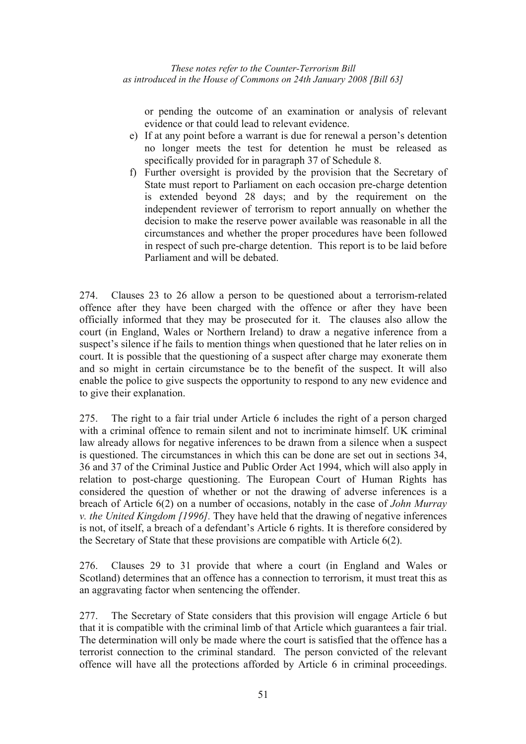or pending the outcome of an examination or analysis of relevant evidence or that could lead to relevant evidence.

- e) If at any point before a warrant is due for renewal a person's detention no longer meets the test for detention he must be released as specifically provided for in paragraph 37 of Schedule 8.
- f) Further oversight is provided by the provision that the Secretary of State must report to Parliament on each occasion pre-charge detention is extended beyond 28 days; and by the requirement on the independent reviewer of terrorism to report annually on whether the decision to make the reserve power available was reasonable in all the circumstances and whether the proper procedures have been followed in respect of such pre-charge detention. This report is to be laid before Parliament and will be debated.

274. Clauses 23 to 26 allow a person to be questioned about a terrorism-related offence after they have been charged with the offence or after they have been officially informed that they may be prosecuted for it. The clauses also allow the court (in England, Wales or Northern Ireland) to draw a negative inference from a suspect's silence if he fails to mention things when questioned that he later relies on in court. It is possible that the questioning of a suspect after charge may exonerate them and so might in certain circumstance be to the benefit of the suspect. It will also enable the police to give suspects the opportunity to respond to any new evidence and to give their explanation.

275. The right to a fair trial under Article 6 includes the right of a person charged with a criminal offence to remain silent and not to incriminate himself. UK criminal law already allows for negative inferences to be drawn from a silence when a suspect is questioned. The circumstances in which this can be done are set out in sections 34, 36 and 37 of the Criminal Justice and Public Order Act 1994, which will also apply in relation to post-charge questioning. The European Court of Human Rights has considered the question of whether or not the drawing of adverse inferences is a breach of Article 6(2) on a number of occasions, notably in the case of *John Murray v. the United Kingdom [1996].* They have held that the drawing of negative inferences is not, of itself, a breach of a defendant's Article 6 rights. It is therefore considered by the Secretary of State that these provisions are compatible with Article 6(2).

276. Clauses 29 to 31 provide that where a court (in England and Wales or Scotland) determines that an offence has a connection to terrorism, it must treat this as an aggravating factor when sentencing the offender.

277. The Secretary of State considers that this provision will engage Article 6 but that it is compatible with the criminal limb of that Article which guarantees a fair trial. The determination will only be made where the court is satisfied that the offence has a terrorist connection to the criminal standard. The person convicted of the relevant offence will have all the protections afforded by Article 6 in criminal proceedings.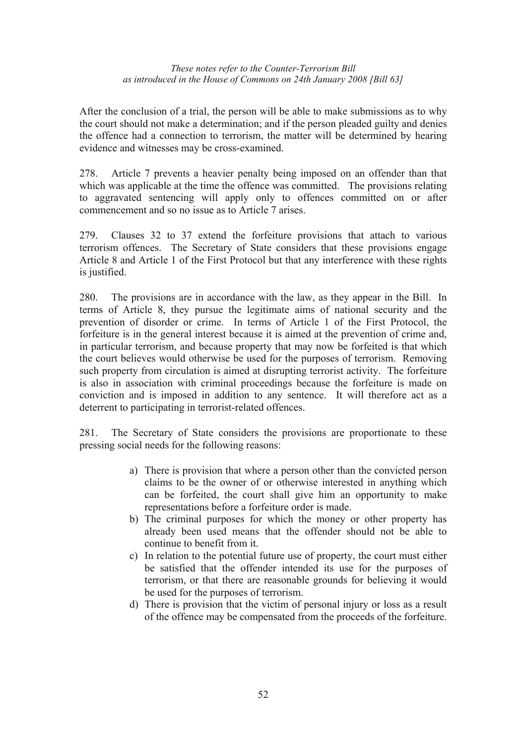After the conclusion of a trial, the person will be able to make submissions as to why the court should not make a determination; and if the person pleaded guilty and denies the offence had a connection to terrorism, the matter will be determined by hearing evidence and witnesses may be cross-examined.

278. Article 7 prevents a heavier penalty being imposed on an offender than that which was applicable at the time the offence was committed. The provisions relating to aggravated sentencing will apply only to offences committed on or after commencement and so no issue as to Article 7 arises.

279. Clauses 32 to 37 extend the forfeiture provisions that attach to various terrorism offences. The Secretary of State considers that these provisions engage Article 8 and Article 1 of the First Protocol but that any interference with these rights is justified.

280. The provisions are in accordance with the law, as they appear in the Bill. In terms of Article 8, they pursue the legitimate aims of national security and the prevention of disorder or crime. In terms of Article 1 of the First Protocol, the forfeiture is in the general interest because it is aimed at the prevention of crime and, in particular terrorism, and because property that may now be forfeited is that which the court believes would otherwise be used for the purposes of terrorism. Removing such property from circulation is aimed at disrupting terrorist activity. The forfeiture is also in association with criminal proceedings because the forfeiture is made on conviction and is imposed in addition to any sentence. It will therefore act as a deterrent to participating in terrorist-related offences.

281. The Secretary of State considers the provisions are proportionate to these pressing social needs for the following reasons:

- a) There is provision that where a person other than the convicted person claims to be the owner of or otherwise interested in anything which can be forfeited, the court shall give him an opportunity to make representations before a forfeiture order is made.
- b) The criminal purposes for which the money or other property has already been used means that the offender should not be able to continue to benefit from it.
- c) In relation to the potential future use of property, the court must either be satisfied that the offender intended its use for the purposes of terrorism, or that there are reasonable grounds for believing it would be used for the purposes of terrorism.
- d) There is provision that the victim of personal injury or loss as a result of the offence may be compensated from the proceeds of the forfeiture.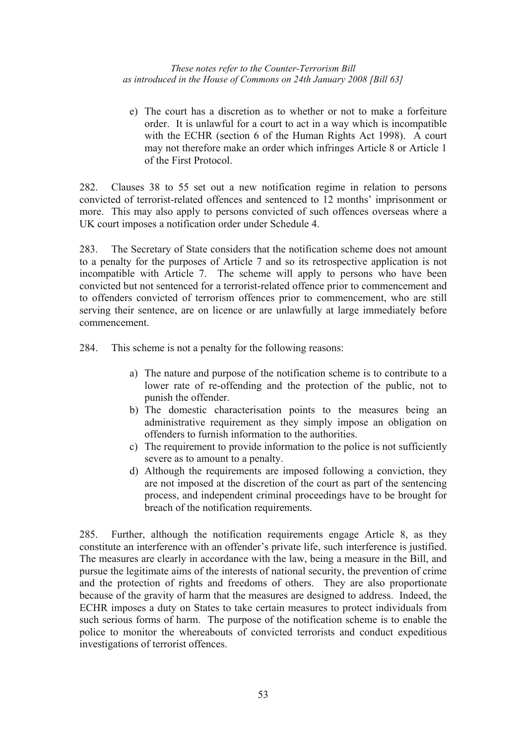e) The court has a discretion as to whether or not to make a forfeiture order. It is unlawful for a court to act in a way which is incompatible with the ECHR (section 6 of the Human Rights Act 1998). A court may not therefore make an order which infringes Article 8 or Article 1 of the First Protocol.

282. Clauses 38 to 55 set out a new notification regime in relation to persons convicted of terrorist-related offences and sentenced to 12 months' imprisonment or more. This may also apply to persons convicted of such offences overseas where a UK court imposes a notification order under Schedule 4.

283. The Secretary of State considers that the notification scheme does not amount to a penalty for the purposes of Article 7 and so its retrospective application is not incompatible with Article 7. The scheme will apply to persons who have been convicted but not sentenced for a terrorist-related offence prior to commencement and to offenders convicted of terrorism offences prior to commencement, who are still serving their sentence, are on licence or are unlawfully at large immediately before commencement.

284. This scheme is not a penalty for the following reasons:

- a) The nature and purpose of the notification scheme is to contribute to a lower rate of re-offending and the protection of the public, not to punish the offender.
- b) The domestic characterisation points to the measures being an administrative requirement as they simply impose an obligation on offenders to furnish information to the authorities.
- c) The requirement to provide information to the police is not sufficiently severe as to amount to a penalty.
- d) Although the requirements are imposed following a conviction, they are not imposed at the discretion of the court as part of the sentencing process, and independent criminal proceedings have to be brought for breach of the notification requirements.

285. Further, although the notification requirements engage Article 8, as they constitute an interference with an offender's private life, such interference is justified. The measures are clearly in accordance with the law, being a measure in the Bill, and pursue the legitimate aims of the interests of national security, the prevention of crime and the protection of rights and freedoms of others. They are also proportionate because of the gravity of harm that the measures are designed to address. Indeed, the ECHR imposes a duty on States to take certain measures to protect individuals from such serious forms of harm. The purpose of the notification scheme is to enable the police to monitor the whereabouts of convicted terrorists and conduct expeditious investigations of terrorist offences.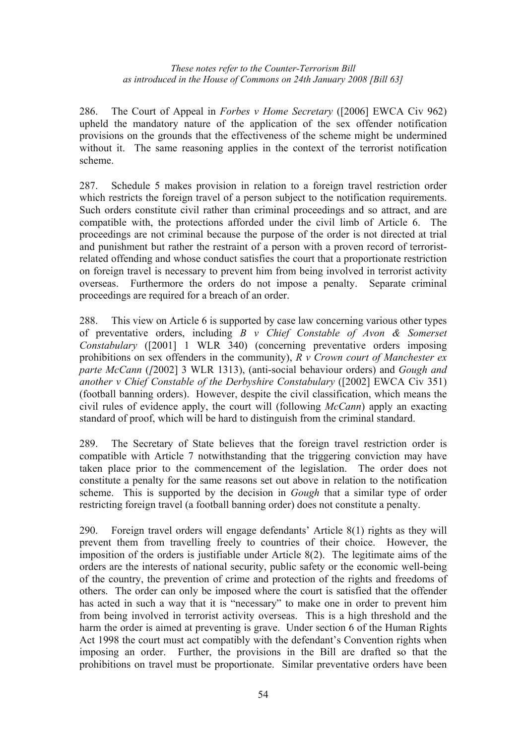286. The Court of Appeal in *Forbes v Home Secretary* ([2006] EWCA Civ 962) upheld the mandatory nature of the application of the sex offender notification provisions on the grounds that the effectiveness of the scheme might be undermined without it. The same reasoning applies in the context of the terrorist notification scheme.

287. Schedule 5 makes provision in relation to a foreign travel restriction order which restricts the foreign travel of a person subject to the notification requirements. Such orders constitute civil rather than criminal proceedings and so attract, and are compatible with, the protections afforded under the civil limb of Article 6. The proceedings are not criminal because the purpose of the order is not directed at trial and punishment but rather the restraint of a person with a proven record of terroristrelated offending and whose conduct satisfies the court that a proportionate restriction on foreign travel is necessary to prevent him from being involved in terrorist activity overseas. Furthermore the orders do not impose a penalty. Separate criminal proceedings are required for a breach of an order.

288. This view on Article 6 is supported by case law concerning various other types of preventative orders, including *B v Chief Constable of Avon & Somerset Constabulary* ([2001] 1 WLR 340) (concerning preventative orders imposing prohibitions on sex offenders in the community), *R v Crown court of Manchester ex parte McCann* (*[*2002] 3 WLR 1313), (anti-social behaviour orders) and *Gough and another v Chief Constable of the Derbyshire Constabulary* ([2002] EWCA Civ 351) (football banning orders). However, despite the civil classification, which means the civil rules of evidence apply, the court will (following *McCann*) apply an exacting standard of proof, which will be hard to distinguish from the criminal standard.

289. The Secretary of State believes that the foreign travel restriction order is compatible with Article 7 notwithstanding that the triggering conviction may have taken place prior to the commencement of the legislation. The order does not constitute a penalty for the same reasons set out above in relation to the notification scheme. This is supported by the decision in *Gough* that a similar type of order restricting foreign travel (a football banning order) does not constitute a penalty.

290. Foreign travel orders will engage defendants' Article 8(1) rights as they will prevent them from travelling freely to countries of their choice. However, the imposition of the orders is justifiable under Article 8(2). The legitimate aims of the orders are the interests of national security, public safety or the economic well-being of the country, the prevention of crime and protection of the rights and freedoms of others. The order can only be imposed where the court is satisfied that the offender has acted in such a way that it is "necessary" to make one in order to prevent him from being involved in terrorist activity overseas. This is a high threshold and the harm the order is aimed at preventing is grave. Under section 6 of the Human Rights Act 1998 the court must act compatibly with the defendant's Convention rights when imposing an order. Further, the provisions in the Bill are drafted so that the prohibitions on travel must be proportionate. Similar preventative orders have been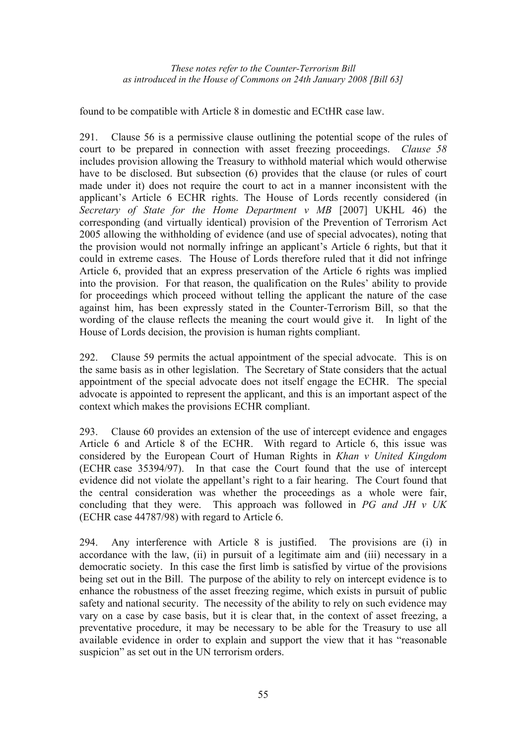found to be compatible with Article 8 in domestic and ECtHR case law.

291. Clause 56 is a permissive clause outlining the potential scope of the rules of court to be prepared in connection with asset freezing proceedings. *Clause 58*  includes provision allowing the Treasury to withhold material which would otherwise have to be disclosed. But subsection (6) provides that the clause (or rules of court made under it) does not require the court to act in a manner inconsistent with the applicant's Article 6 ECHR rights. The House of Lords recently considered (in *Secretary of State for the Home Department v MB* [2007] UKHL 46) the corresponding (and virtually identical) provision of the Prevention of Terrorism Act 2005 allowing the withholding of evidence (and use of special advocates), noting that the provision would not normally infringe an applicant's Article 6 rights, but that it could in extreme cases. The House of Lords therefore ruled that it did not infringe Article 6, provided that an express preservation of the Article 6 rights was implied into the provision. For that reason, the qualification on the Rules' ability to provide for proceedings which proceed without telling the applicant the nature of the case against him, has been expressly stated in the Counter-Terrorism Bill, so that the wording of the clause reflects the meaning the court would give it. In light of the House of Lords decision, the provision is human rights compliant.

292. Clause 59 permits the actual appointment of the special advocate. This is on the same basis as in other legislation. The Secretary of State considers that the actual appointment of the special advocate does not itself engage the ECHR. The special advocate is appointed to represent the applicant, and this is an important aspect of the context which makes the provisions ECHR compliant.

293. Clause 60 provides an extension of the use of intercept evidence and engages Article 6 and Article 8 of the ECHR. With regard to Article 6, this issue was considered by the European Court of Human Rights in *Khan v United Kingdom* (ECHR case 35394/97). In that case the Court found that the use of intercept evidence did not violate the appellant's right to a fair hearing. The Court found that the central consideration was whether the proceedings as a whole were fair, concluding that they were. This approach was followed in *PG and JH v UK* (ECHR case 44787/98) with regard to Article 6.

294. Any interference with Article 8 is justified. The provisions are (i) in accordance with the law, (ii) in pursuit of a legitimate aim and (iii) necessary in a democratic society. In this case the first limb is satisfied by virtue of the provisions being set out in the Bill. The purpose of the ability to rely on intercept evidence is to enhance the robustness of the asset freezing regime, which exists in pursuit of public safety and national security. The necessity of the ability to rely on such evidence may vary on a case by case basis, but it is clear that, in the context of asset freezing, a preventative procedure, it may be necessary to be able for the Treasury to use all available evidence in order to explain and support the view that it has "reasonable suspicion" as set out in the UN terrorism orders.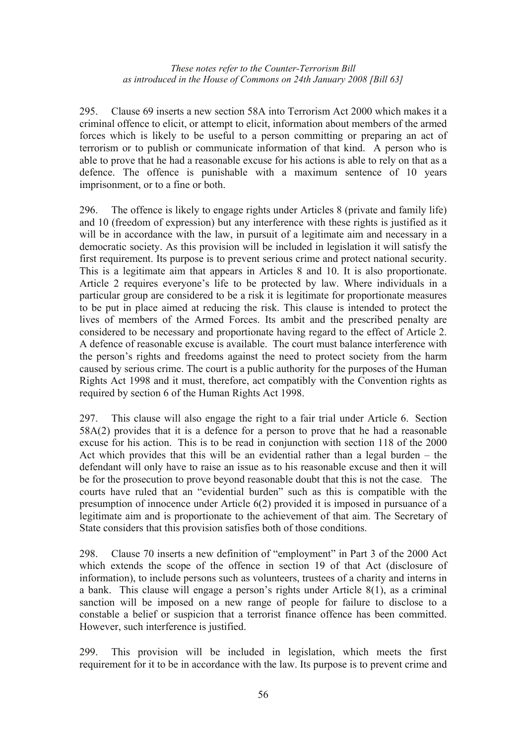295. Clause 69 inserts a new section 58A into Terrorism Act 2000 which makes it a criminal offence to elicit, or attempt to elicit, information about members of the armed forces which is likely to be useful to a person committing or preparing an act of terrorism or to publish or communicate information of that kind. A person who is able to prove that he had a reasonable excuse for his actions is able to rely on that as a defence. The offence is punishable with a maximum sentence of 10 years imprisonment, or to a fine or both.

296. The offence is likely to engage rights under Articles 8 (private and family life) and 10 (freedom of expression) but any interference with these rights is justified as it will be in accordance with the law, in pursuit of a legitimate aim and necessary in a democratic society. As this provision will be included in legislation it will satisfy the first requirement. Its purpose is to prevent serious crime and protect national security. This is a legitimate aim that appears in Articles 8 and 10. It is also proportionate. Article 2 requires everyone's life to be protected by law. Where individuals in a particular group are considered to be a risk it is legitimate for proportionate measures to be put in place aimed at reducing the risk. This clause is intended to protect the lives of members of the Armed Forces. Its ambit and the prescribed penalty are considered to be necessary and proportionate having regard to the effect of Article 2. A defence of reasonable excuse is available. The court must balance interference with the person's rights and freedoms against the need to protect society from the harm caused by serious crime. The court is a public authority for the purposes of the Human Rights Act 1998 and it must, therefore, act compatibly with the Convention rights as required by section 6 of the Human Rights Act 1998.

297. This clause will also engage the right to a fair trial under Article 6. Section 58A(2) provides that it is a defence for a person to prove that he had a reasonable excuse for his action. This is to be read in conjunction with section 118 of the 2000 Act which provides that this will be an evidential rather than a legal burden – the defendant will only have to raise an issue as to his reasonable excuse and then it will be for the prosecution to prove beyond reasonable doubt that this is not the case. The courts have ruled that an "evidential burden" such as this is compatible with the presumption of innocence under Article 6(2) provided it is imposed in pursuance of a legitimate aim and is proportionate to the achievement of that aim. The Secretary of State considers that this provision satisfies both of those conditions.

298. Clause 70 inserts a new definition of "employment" in Part 3 of the 2000 Act which extends the scope of the offence in section 19 of that Act (disclosure of information), to include persons such as volunteers, trustees of a charity and interns in a bank. This clause will engage a person's rights under Article 8(1), as a criminal sanction will be imposed on a new range of people for failure to disclose to a constable a belief or suspicion that a terrorist finance offence has been committed. However, such interference is justified.

299. This provision will be included in legislation, which meets the first requirement for it to be in accordance with the law. Its purpose is to prevent crime and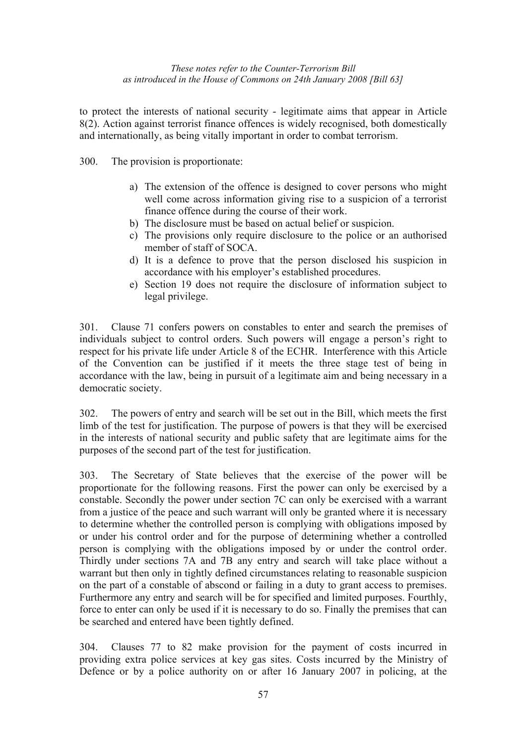to protect the interests of national security - legitimate aims that appear in Article 8(2). Action against terrorist finance offences is widely recognised, both domestically and internationally, as being vitally important in order to combat terrorism.

300. The provision is proportionate:

- a) The extension of the offence is designed to cover persons who might well come across information giving rise to a suspicion of a terrorist finance offence during the course of their work.
- b) The disclosure must be based on actual belief or suspicion.
- c) The provisions only require disclosure to the police or an authorised member of staff of SOCA.
- d) It is a defence to prove that the person disclosed his suspicion in accordance with his employer's established procedures.
- e) Section 19 does not require the disclosure of information subject to legal privilege.

301. Clause 71 confers powers on constables to enter and search the premises of individuals subject to control orders. Such powers will engage a person's right to respect for his private life under Article 8 of the ECHR. Interference with this Article of the Convention can be justified if it meets the three stage test of being in accordance with the law, being in pursuit of a legitimate aim and being necessary in a democratic society.

302. The powers of entry and search will be set out in the Bill, which meets the first limb of the test for justification. The purpose of powers is that they will be exercised in the interests of national security and public safety that are legitimate aims for the purposes of the second part of the test for justification.

303. The Secretary of State believes that the exercise of the power will be proportionate for the following reasons. First the power can only be exercised by a constable. Secondly the power under section 7C can only be exercised with a warrant from a justice of the peace and such warrant will only be granted where it is necessary to determine whether the controlled person is complying with obligations imposed by or under his control order and for the purpose of determining whether a controlled person is complying with the obligations imposed by or under the control order. Thirdly under sections 7A and 7B any entry and search will take place without a warrant but then only in tightly defined circumstances relating to reasonable suspicion on the part of a constable of abscond or failing in a duty to grant access to premises. Furthermore any entry and search will be for specified and limited purposes. Fourthly, force to enter can only be used if it is necessary to do so. Finally the premises that can be searched and entered have been tightly defined.

304. Clauses 77 to 82 make provision for the payment of costs incurred in providing extra police services at key gas sites. Costs incurred by the Ministry of Defence or by a police authority on or after 16 January 2007 in policing, at the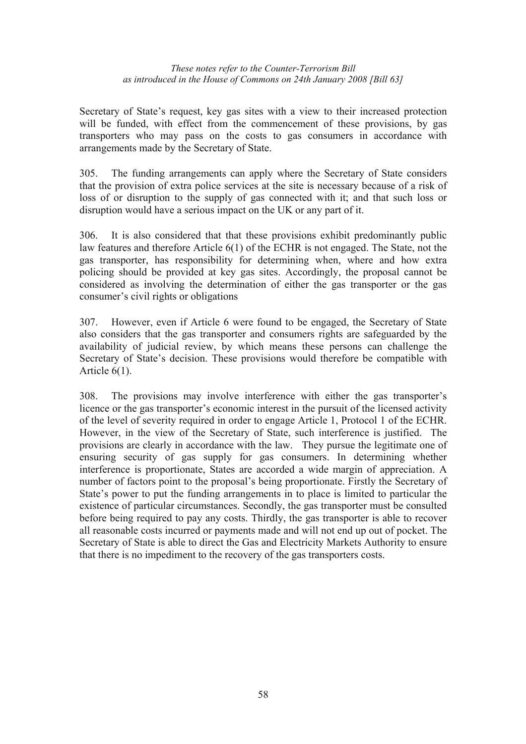Secretary of State's request, key gas sites with a view to their increased protection will be funded, with effect from the commencement of these provisions, by gas transporters who may pass on the costs to gas consumers in accordance with arrangements made by the Secretary of State.

305. The funding arrangements can apply where the Secretary of State considers that the provision of extra police services at the site is necessary because of a risk of loss of or disruption to the supply of gas connected with it; and that such loss or disruption would have a serious impact on the UK or any part of it.

306. It is also considered that that these provisions exhibit predominantly public law features and therefore Article 6(1) of the ECHR is not engaged. The State, not the gas transporter, has responsibility for determining when, where and how extra policing should be provided at key gas sites. Accordingly, the proposal cannot be considered as involving the determination of either the gas transporter or the gas consumer's civil rights or obligations

307. However, even if Article 6 were found to be engaged, the Secretary of State also considers that the gas transporter and consumers rights are safeguarded by the availability of judicial review, by which means these persons can challenge the Secretary of State's decision. These provisions would therefore be compatible with Article 6(1).

308. The provisions may involve interference with either the gas transporter's licence or the gas transporter's economic interest in the pursuit of the licensed activity of the level of severity required in order to engage Article 1, Protocol 1 of the ECHR. However, in the view of the Secretary of State, such interference is justified. The provisions are clearly in accordance with the law. They pursue the legitimate one of ensuring security of gas supply for gas consumers. In determining whether interference is proportionate, States are accorded a wide margin of appreciation. A number of factors point to the proposal's being proportionate. Firstly the Secretary of State's power to put the funding arrangements in to place is limited to particular the existence of particular circumstances. Secondly, the gas transporter must be consulted before being required to pay any costs. Thirdly, the gas transporter is able to recover all reasonable costs incurred or payments made and will not end up out of pocket. The Secretary of State is able to direct the Gas and Electricity Markets Authority to ensure that there is no impediment to the recovery of the gas transporters costs.